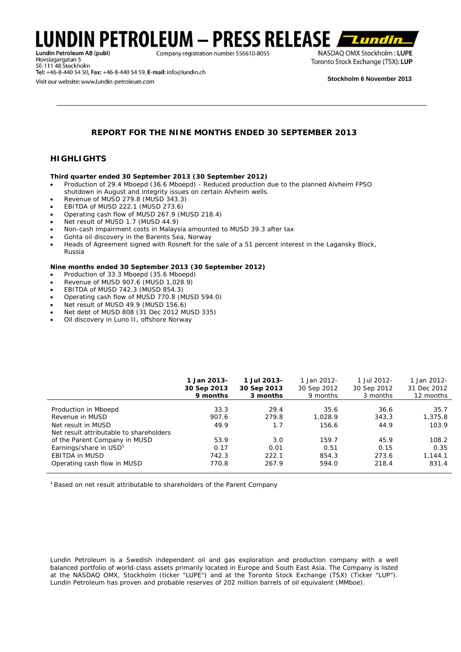# LUNDIN PETROLEUM – PRESS RELEASE Lundin Petroleum AB (publ)

Company registration number 556610-8055

Hovslagargatan 5<br>SE-111 48 Stockholm Tel: +46-8-440 54 50, Fax: +46-8-440 54 59, E-mail: info@lundin.ch Visit our website: www.lundin-petroleum.com

NASDAQ OMX Stockholm: LUPE Toronto Stock Exchange (TSX): LUP

**Stockholm 6 November 2013** 

*Lundin* 

## **REPORT FOR THE NINE MONTHS ENDED 30 SEPTEMBER 2013**

## **HIGHLIGHTS**

### **Third quarter ended 30 September 2013 (30 September 2012)**

- Production of 29.4 Mboepd (36.6 Mboepd) Reduced production due to the planned Alvheim FPSO shutdown in August and integrity issues on certain Alvheim wells.
- Revenue of MUSD 279.8 (MUSD 343.3)
- EBITDA of MUSD 222.1 (MUSD 273.6)
- Operating cash flow of MUSD 267.9 (MUSD 218.4)
- Net result of MUSD 1.7 (MUSD 44.9)
- Non-cash impairment costs in Malaysia amounted to MUSD 39.3 after tax
- Gohta oil discovery in the Barents Sea, Norway
- Heads of Agreement signed with Rosneft for the sale of a 51 percent interest in the Lagansky Block, Russia

### **Nine months ended 30 September 2013 (30 September 2012)**

- Production of 33.3 Mboepd (35.6 Mboepd)
- Revenue of MUSD 907.6 (MUSD 1,028.9)
- EBITDA of MUSD 742.3 (MUSD 854.3)
- Operating cash flow of MUSD 770.8 (MUSD 594.0)
- Net result of MUSD 49.9 (MUSD 156.6)
- Net debt of MUSD 808 (31 Dec 2012 MUSD 335)
- Oil discovery in Luno II, offshore Norway

|                                         | 1 Jan 2013-<br>30 Sep 2013<br>9 months | 1 Jul 2013-<br>30 Sep 2013<br>3 months | 1 Jan 2012-<br>30 Sep 2012<br>9 months | 1 Jul 2012-<br>30 Sep 2012<br>3 months | 1 Jan 2012-<br>31 Dec 2012<br>12 months |
|-----------------------------------------|----------------------------------------|----------------------------------------|----------------------------------------|----------------------------------------|-----------------------------------------|
| Production in Mboepd                    | 33.3                                   | 29.4                                   | 35.6                                   | 36.6                                   | 35.7                                    |
| Revenue in MUSD                         | 907.6                                  | 279.8                                  | 1.028.9                                | 343.3                                  | 1,375.8                                 |
| Net result in MUSD                      | 49.9                                   | 1.7                                    | 156.6                                  | 44.9                                   | 103.9                                   |
| Net result attributable to shareholders |                                        |                                        |                                        |                                        |                                         |
| of the Parent Company in MUSD           | 53.9                                   | 3.0                                    | 159.7                                  | 45.9                                   | 108.2                                   |
| Earnings/share in USD <sup>1</sup>      | 0.17                                   | 0.01                                   | 0.51                                   | 0.15                                   | 0.35                                    |
| <b>EBITDA in MUSD</b>                   | 742.3                                  | 222.1                                  | 854.3                                  | 273.6                                  | 1.144.1                                 |
| Operating cash flow in MUSD             | 770.8                                  | 267.9                                  | 594.0                                  | 218.4                                  | 831.4                                   |

<sup>1</sup> Based on net result attributable to shareholders of the Parent Company

Lundin Petroleum is a Swedish independent oil and gas exploration and production company with a well *balanced portfolio of world-class assets primarily located in Europe and South East Asia. The Company is listed at the NASDAQ OMX, Stockholm (ticker "LUPE") and at the Toronto Stock Exchange (TSX) (Ticker "LUP"). Lundin Petroleum has proven and probable reserves of 202 million barrels of oil equivalent (MMboe).*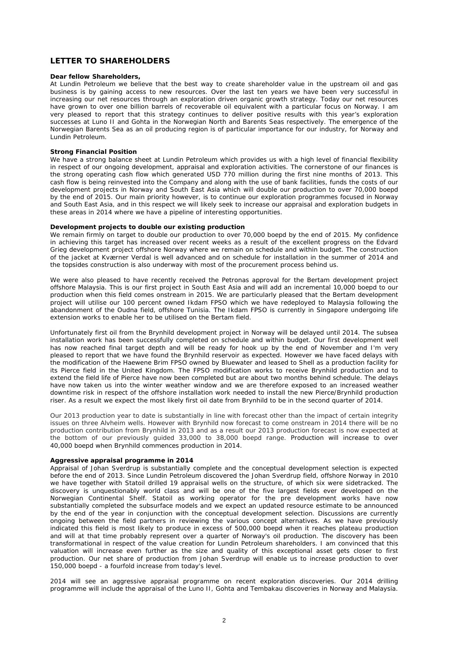## **LETTER TO SHAREHOLDERS**

#### **Dear fellow Shareholders,**

At Lundin Petroleum we believe that the best way to create shareholder value in the upstream oil and gas business is by gaining access to new resources. Over the last ten years we have been very successful in increasing our net resources through an exploration driven organic growth strategy. Today our net resources have grown to over one billion barrels of recoverable oil equivalent with a particular focus on Norway. I am very pleased to report that this strategy continues to deliver positive results with this year's exploration successes at Luno II and Gohta in the Norwegian North and Barents Seas respectively. The emergence of the Norwegian Barents Sea as an oil producing region is of particular importance for our industry, for Norway and Lundin Petroleum.

#### **Strong Financial Position**

We have a strong balance sheet at Lundin Petroleum which provides us with a high level of financial flexibility in respect of our ongoing development, appraisal and exploration activities. The cornerstone of our finances is the strong operating cash flow which generated USD 770 million during the first nine months of 2013. This cash flow is being reinvested into the Company and along with the use of bank facilities, funds the costs of our development projects in Norway and South East Asia which will double our production to over 70,000 boepd by the end of 2015. Our main priority however, is to continue our exploration programmes focused in Norway and South East Asia, and in this respect we will likely seek to increase our appraisal and exploration budgets in these areas in 2014 where we have a pipeline of interesting opportunities.

### **Development projects to double our existing production**

We remain firmly on target to double our production to over 70,000 boepd by the end of 2015. My confidence in achieving this target has increased over recent weeks as a result of the excellent progress on the Edvard Grieg development project offshore Norway where we remain on schedule and within budget. The construction of the jacket at Kværner Verdal is well advanced and on schedule for installation in the summer of 2014 and the topsides construction is also underway with most of the procurement process behind us.

We were also pleased to have recently received the Petronas approval for the Bertam development project offshore Malaysia. This is our first project in South East Asia and will add an incremental 10,000 boepd to our production when this field comes onstream in 2015. We are particularly pleased that the Bertam development project will utilise our 100 percent owned Ikdam FPSO which we have redeployed to Malaysia following the abandonment of the Oudna field, offshore Tunisia. The Ikdam FPSO is currently in Singapore undergoing life extension works to enable her to be utilised on the Bertam field.

Unfortunately first oil from the Brynhild development project in Norway will be delayed until 2014. The subsea installation work has been successfully completed on schedule and within budget. Our first development well has now reached final target depth and will be ready for hook up by the end of November and I'm very pleased to report that we have found the Brynhild reservoir as expected. However we have faced delays with the modification of the Haewene Brim FPSO owned by Bluewater and leased to Shell as a production facility for its Pierce field in the United Kingdom. The FPSO modification works to receive Brynhild production and to extend the field life of Pierce have now been completed but are about two months behind schedule. The delays have now taken us into the winter weather window and we are therefore exposed to an increased weather downtime risk in respect of the offshore installation work needed to install the new Pierce/Brynhild production riser. As a result we expect the most likely first oil date from Brynhild to be in the second quarter of 2014.

Our 2013 production year to date is substantially in line with forecast other than the impact of certain integrity issues on three Alvheim wells. However with Brynhild now forecast to come onstream in 2014 there will be no production contribution from Brynhild in 2013 and as a result our 2013 production forecast is now expected at the bottom of our previously guided 33,000 to 38,000 boepd range. Production will increase to over 40,000 boepd when Brynhild commences production in 2014.

#### **Aggressive appraisal programme in 2014**

Appraisal of Johan Sverdrup is substantially complete and the conceptual development selection is expected before the end of 2013. Since Lundin Petroleum discovered the Johan Sverdrup field, offshore Norway in 2010 we have together with Statoil drilled 19 appraisal wells on the structure, of which six were sidetracked. The discovery is unquestionably world class and will be one of the five largest fields ever developed on the Norwegian Continental Shelf. Statoil as working operator for the pre development works have now substantially completed the subsurface models and we expect an updated resource estimate to be announced by the end of the year in conjunction with the conceptual development selection. Discussions are currently ongoing between the field partners in reviewing the various concept alternatives. As we have previously indicated this field is most likely to produce in excess of 500,000 boepd when it reaches plateau production and will at that time probably represent over a quarter of Norway's oil production. The discovery has been transformational in respect of the value creation for Lundin Petroleum shareholders. I am convinced that this valuation will increase even further as the size and quality of this exceptional asset gets closer to first production. Our net share of production from Johan Sverdrup will enable us to increase production to over 150,000 boepd - a fourfold increase from today's level.

2014 will see an aggressive appraisal programme on recent exploration discoveries. Our 2014 drilling programme will include the appraisal of the Luno II, Gohta and Tembakau discoveries in Norway and Malaysia.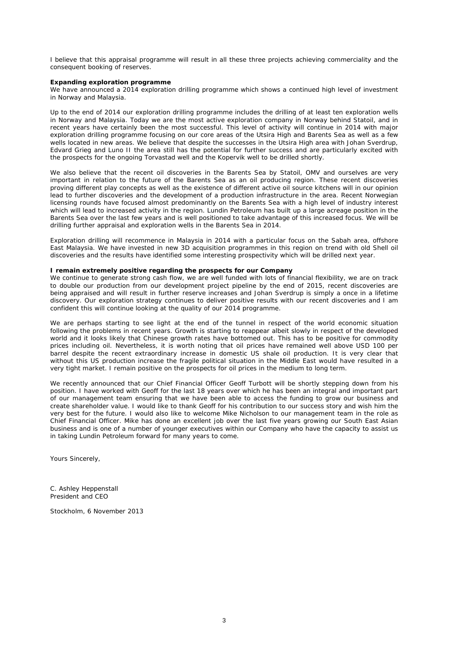I believe that this appraisal programme will result in all these three projects achieving commerciality and the consequent booking of reserves.

#### **Expanding exploration programme**

We have announced a 2014 exploration drilling programme which shows a continued high level of investment in Norway and Malaysia.

Up to the end of 2014 our exploration drilling programme includes the drilling of at least ten exploration wells in Norway and Malaysia. Today we are the most active exploration company in Norway behind Statoil, and in recent years have certainly been the most successful. This level of activity will continue in 2014 with major exploration drilling programme focusing on our core areas of the Utsira High and Barents Sea as well as a few wells located in new areas. We believe that despite the successes in the Utsira High area with Johan Sverdrup, Edvard Grieg and Luno II the area still has the potential for further success and are particularly excited with the prospects for the ongoing Torvastad well and the Kopervik well to be drilled shortly.

We also believe that the recent oil discoveries in the Barents Sea by Statoil, OMV and ourselves are very important in relation to the future of the Barents Sea as an oil producing region. These recent discoveries proving different play concepts as well as the existence of different active oil source kitchens will in our opinion lead to further discoveries and the development of a production infrastructure in the area. Recent Norwegian licensing rounds have focused almost predominantly on the Barents Sea with a high level of industry interest which will lead to increased activity in the region. Lundin Petroleum has built up a large acreage position in the Barents Sea over the last few years and is well positioned to take advantage of this increased focus. We will be drilling further appraisal and exploration wells in the Barents Sea in 2014.

Exploration drilling will recommence in Malaysia in 2014 with a particular focus on the Sabah area, offshore East Malaysia. We have invested in new 3D acquisition programmes in this region on trend with old Shell oil discoveries and the results have identified some interesting prospectivity which will be drilled next year.

#### **I remain extremely positive regarding the prospects for our Company**

We continue to generate strong cash flow, we are well funded with lots of financial flexibility, we are on track to double our production from our development project pipeline by the end of 2015, recent discoveries are being appraised and will result in further reserve increases and Johan Sverdrup is simply a once in a lifetime discovery. Our exploration strategy continues to deliver positive results with our recent discoveries and I am confident this will continue looking at the quality of our 2014 programme.

We are perhaps starting to see light at the end of the tunnel in respect of the world economic situation following the problems in recent years. Growth is starting to reappear albeit slowly in respect of the developed world and it looks likely that Chinese growth rates have bottomed out. This has to be positive for commodity prices including oil. Nevertheless, it is worth noting that oil prices have remained well above USD 100 per barrel despite the recent extraordinary increase in domestic US shale oil production. It is very clear that without this US production increase the fragile political situation in the Middle East would have resulted in a very tight market. I remain positive on the prospects for oil prices in the medium to long term.

We recently announced that our Chief Financial Officer Geoff Turbott will be shortly stepping down from his position. I have worked with Geoff for the last 18 years over which he has been an integral and important part of our management team ensuring that we have been able to access the funding to grow our business and create shareholder value. I would like to thank Geoff for his contribution to our success story and wish him the very best for the future. I would also like to welcome Mike Nicholson to our management team in the role as Chief Financial Officer. Mike has done an excellent job over the last five years growing our South East Asian business and is one of a number of younger executives within our Company who have the capacity to assist us in taking Lundin Petroleum forward for many years to come.

Yours Sincerely,

C. Ashley Heppenstall President and CEO

Stockholm, 6 November 2013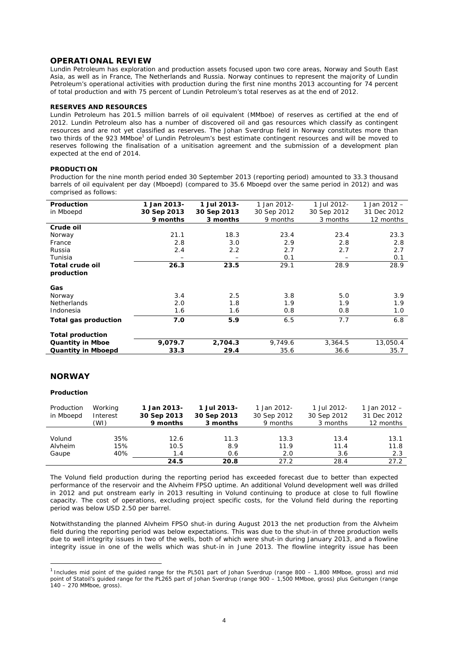### **OPERATIONAL REVIEW**

Lundin Petroleum has exploration and production assets focused upon two core areas, Norway and South East Asia, as well as in France, The Netherlands and Russia. Norway continues to represent the majority of Lundin Petroleum's operational activities with production during the first nine months 2013 accounting for 74 percent of total production and with 75 percent of Lundin Petroleum's total reserves as at the end of 2012.

#### **RESERVES AND RESOURCES**

Lundin Petroleum has 201.5 million barrels of oil equivalent (MMboe) of reserves as certified at the end of 2012. Lundin Petroleum also has a number of discovered oil and gas resources which classify as contingent resources and are not yet classified as reserves. The Johan Sverdrup field in Norway constitutes more than two thirds of the 923 MMboe<sup>1</sup> of Lundin Petroleum's best estimate contingent resources and will be moved to reserves following the finalisation of a unitisation agreement and the submission of a development plan expected at the end of 2014.

#### **PRODUCTION**

Production for the nine month period ended 30 September 2013 (reporting period) amounted to 33.3 thousand barrels of oil equivalent per day (Mboepd) (compared to 35.6 Mboepd over the same period in 2012) and was comprised as follows:

| Production                | 1 Jan 2013- | 1 Jul 2013- | 1 Jan 2012- | 1 Jul 2012- | 1 Jan 2012 - |
|---------------------------|-------------|-------------|-------------|-------------|--------------|
| in Mboepd                 | 30 Sep 2013 | 30 Sep 2013 | 30 Sep 2012 | 30 Sep 2012 | 31 Dec 2012  |
|                           | 9 months    | 3 months    | 9 months    | 3 months    | 12 months    |
| Crude oil                 |             |             |             |             |              |
| Norway                    | 21.1        | 18.3        | 23.4        | 23.4        | 23.3         |
| France                    | 2.8         | 3.0         | 2.9         | 2.8         | 2.8          |
| Russia                    | 2.4         | 2.2         | 2.7         | 2.7         | 2.7          |
| Tunisia                   |             | -           | 0.1         | -           | 0.1          |
| <b>Total crude oil</b>    | 26.3        | 23.5        | 29.1        | 28.9        | 28.9         |
| production                |             |             |             |             |              |
| Gas                       |             |             |             |             |              |
| Norway                    | 3.4         | 2.5         | 3.8         | 5.0         | 3.9          |
| <b>Netherlands</b>        | 2.0         | 1.8         | 1.9         | 1.9         | 1.9          |
| Indonesia                 | 1.6         | 1.6         | 0.8         | 0.8         | 1.0          |
| Total gas production      | 7.0         | 5.9         | 6.5         | 7.7         | 6.8          |
| <b>Total production</b>   |             |             |             |             |              |
| <b>Quantity in Mboe</b>   | 9,079.7     | 2.704.3     | 9.749.6     | 3,364.5     | 13,050.4     |
| <b>Quantity in Mboepd</b> | 33.3        | 29.4        | 35.6        | 36.6        | 35.7         |

### **NORWAY**

### **Production**

1

| Production<br>in Mboepd | Working<br>Interest<br>(WI) | 1 Jan 2013-<br>30 Sep 2013<br>9 months | 1 Jul 2013-<br>30 Sep 2013<br>3 months | 1 Jan 2012-<br>30 Sep 2012<br>9 months | 1 Jul 2012-<br>30 Sep 2012<br>3 months | 1 Jan $2012 -$<br>31 Dec 2012<br>12 months |
|-------------------------|-----------------------------|----------------------------------------|----------------------------------------|----------------------------------------|----------------------------------------|--------------------------------------------|
| Volund                  | 35%                         | 12.6                                   | 11.3                                   | 13.3                                   | 13.4                                   | 13.1                                       |
| Alvheim                 | 15%                         | 10.5                                   | 8.9                                    | 11.9                                   | 11.4                                   | 11.8                                       |
| Gaupe                   | 40%                         | 1.4                                    | 0.6                                    | 2.0                                    | 3.6                                    | 2.3                                        |
|                         |                             | 24.5                                   | 20.8                                   | 27.2                                   | 28.4                                   | 27.2                                       |

The Volund field production during the reporting period has exceeded forecast due to better than expected performance of the reservoir and the Alvheim FPSO uptime. An additional Volund development well was drilled in 2012 and put onstream early in 2013 resulting in Volund continuing to produce at close to full flowline capacity. The cost of operations, excluding project specific costs, for the Volund field during the reporting period was below USD 2.50 per barrel.

Notwithstanding the planned Alvheim FPSO shut-in during August 2013 the net production from the Alvheim field during the reporting period was below expectations. This was due to the shut-in of three production wells due to well integrity issues in two of the wells, both of which were shut-in during January 2013, and a flowline integrity issue in one of the wells which was shut-in in June 2013. The flowline integrity issue has been

 $1$  Includes mid point of the quided range for the PL501 part of Johan Sverdrup (range 800 – 1,800 MMboe, gross) and mid point of Statoil's guided range for the PL265 part of Johan Sverdrup (range 900 – 1,500 MMboe, gross) plus Geitungen (range 140 – 270 MMboe, gross).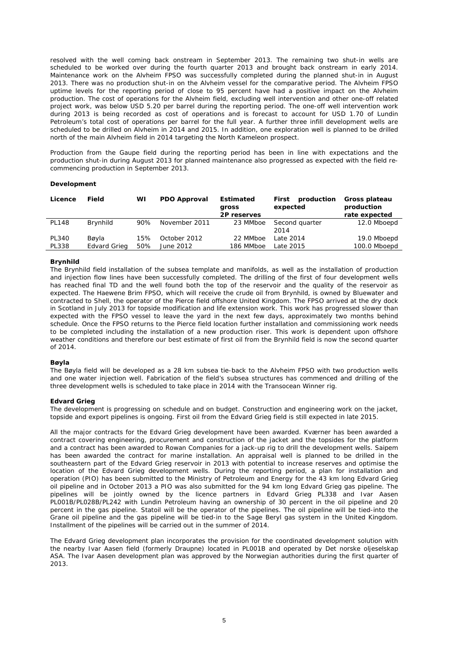resolved with the well coming back onstream in September 2013. The remaining two shut-in wells are scheduled to be worked over during the fourth quarter 2013 and brought back onstream in early 2014. Maintenance work on the Alvheim FPSO was successfully completed during the planned shut-in in August 2013. There was no production shut-in on the Alvheim vessel for the comparative period. The Alvheim FPSO uptime levels for the reporting period of close to 95 percent have had a positive impact on the Alvheim production. The cost of operations for the Alvheim field, excluding well intervention and other one-off related project work, was below USD 5.20 per barrel during the reporting period. The one-off well intervention work during 2013 is being recorded as cost of operations and is forecast to account for USD 1.70 of Lundin Petroleum's total cost of operations per barrel for the full year. A further three infill development wells are scheduled to be drilled on Alvheim in 2014 and 2015. In addition, one exploration well is planned to be drilled north of the main Alvheim field in 2014 targeting the North Kameleon prospect.

Production from the Gaupe field during the reporting period has been in line with expectations and the production shut-in during August 2013 for planned maintenance also progressed as expected with the field recommencing production in September 2013.

#### **Development**

| Licence      | Field               | WI  | <b>PDO Approval</b> | <b>Estimated</b><br>gross<br>2P reserves | production<br>First<br>expected | Gross plateau<br>production<br>rate expected |
|--------------|---------------------|-----|---------------------|------------------------------------------|---------------------------------|----------------------------------------------|
| <b>PL148</b> | Brynhild            | 90% | November 2011       | 23 MMboe                                 | Second quarter<br>2014          | 12.0 Mboepd                                  |
| <b>PL340</b> | Bøyla               | 15% | October 2012        | 22 MMboe                                 | Late 2014                       | 19.0 Mboepd                                  |
| <b>PL338</b> | <b>Edvard Grieg</b> | 50% | June 2012           | 186 MMboe                                | Late 2015                       | 100.0 Mboepd                                 |

### **Brynhild**

The Brynhild field installation of the subsea template and manifolds, as well as the installation of production and injection flow lines have been successfully completed. The drilling of the first of four development wells has reached final TD and the well found both the top of the reservoir and the quality of the reservoir as expected. The Haewene Brim FPSO, which will receive the crude oil from Brynhild, is owned by Bluewater and contracted to Shell, the operator of the Pierce field offshore United Kingdom. The FPSO arrived at the dry dock in Scotland in July 2013 for topside modification and life extension work. This work has progressed slower than expected with the FPSO vessel to leave the yard in the next few days, approximately two months behind schedule. Once the FPSO returns to the Pierce field location further installation and commissioning work needs to be completed including the installation of a new production riser. This work is dependent upon offshore weather conditions and therefore our best estimate of first oil from the Brynhild field is now the second quarter of 2014.

#### **Bøyla**

The Bøyla field will be developed as a 28 km subsea tie-back to the Alvheim FPSO with two production wells and one water injection well. Fabrication of the field's subsea structures has commenced and drilling of the three development wells is scheduled to take place in 2014 with the Transocean Winner rig.

#### **Edvard Grieg**

The development is progressing on schedule and on budget. Construction and engineering work on the jacket, topside and export pipelines is ongoing. First oil from the Edvard Grieg field is still expected in late 2015.

All the major contracts for the Edvard Grieg development have been awarded. Kværner has been awarded a contract covering engineering, procurement and construction of the jacket and the topsides for the platform and a contract has been awarded to Rowan Companies for a jack-up rig to drill the development wells. Saipem has been awarded the contract for marine installation. An appraisal well is planned to be drilled in the southeastern part of the Edvard Grieg reservoir in 2013 with potential to increase reserves and optimise the location of the Edvard Grieg development wells. During the reporting period, a plan for installation and operation (PIO) has been submitted to the Ministry of Petroleum and Energy for the 43 km long Edvard Grieg oil pipeline and in October 2013 a PIO was also submitted for the 94 km long Edvard Grieg gas pipeline. The pipelines will be jointly owned by the licence partners in Edvard Grieg PL338 and Ivar Aasen PL001B/PL028B/PL242 with Lundin Petroleum having an ownership of 30 percent in the oil pipeline and 20 percent in the gas pipeline. Statoil will be the operator of the pipelines. The oil pipeline will be tied-into the Grane oil pipeline and the gas pipeline will be tied-in to the Sage Beryl gas system in the United Kingdom. Installment of the pipelines will be carried out in the summer of 2014.

The Edvard Grieg development plan incorporates the provision for the coordinated development solution with the nearby Ivar Aasen field (formerly Draupne) located in PL001B and operated by Det norske oljeselskap ASA. The Ivar Aasen development plan was approved by the Norwegian authorities during the first quarter of 2013.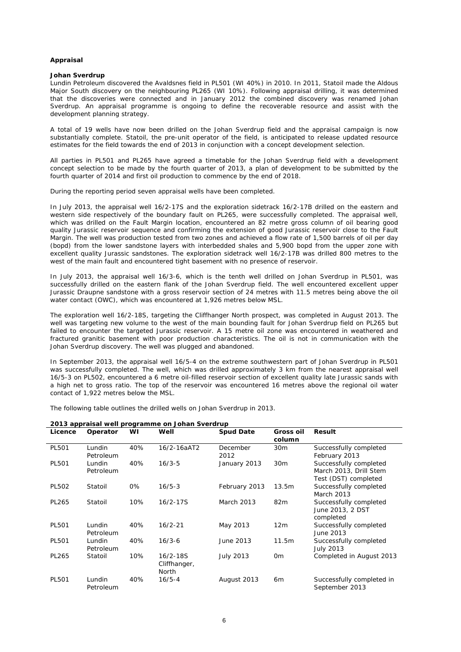#### **Appraisal**

#### **Johan Sverdrup**

Lundin Petroleum discovered the Avaldsnes field in PL501 (WI 40%) in 2010. In 2011, Statoil made the Aldous Major South discovery on the neighbouring PL265 (WI 10%). Following appraisal drilling, it was determined that the discoveries were connected and in January 2012 the combined discovery was renamed Johan Sverdrup. An appraisal programme is ongoing to define the recoverable resource and assist with the development planning strategy.

A total of 19 wells have now been drilled on the Johan Sverdrup field and the appraisal campaign is now substantially complete. Statoil, the pre-unit operator of the field, is anticipated to release updated resource estimates for the field towards the end of 2013 in conjunction with a concept development selection.

All parties in PL501 and PL265 have agreed a timetable for the Johan Sverdrup field with a development concept selection to be made by the fourth quarter of 2013, a plan of development to be submitted by the fourth quarter of 2014 and first oil production to commence by the end of 2018.

During the reporting period seven appraisal wells have been completed.

In July 2013, the appraisal well 16/2-17S and the exploration sidetrack 16/2-17B drilled on the eastern and western side respectively of the boundary fault on PL265, were successfully completed. The appraisal well, which was drilled on the Fault Margin location, encountered an 82 metre gross column of oil bearing good quality Jurassic reservoir sequence and confirming the extension of good Jurassic reservoir close to the Fault Margin. The well was production tested from two zones and achieved a flow rate of 1,500 barrels of oil per day (bopd) from the lower sandstone layers with interbedded shales and 5,900 bopd from the upper zone with excellent quality Jurassic sandstones. The exploration sidetrack well 16/2-17B was drilled 800 metres to the west of the main fault and encountered tight basement with no presence of reservoir.

In July 2013, the appraisal well 16/3-6, which is the tenth well drilled on Johan Sverdrup in PL501, was successfully drilled on the eastern flank of the Johan Sverdrup field. The well encountered excellent upper Jurassic Draupne sandstone with a gross reservoir section of 24 metres with 11.5 metres being above the oil water contact (OWC), which was encountered at 1,926 metres below MSL.

The exploration well 16/2-18S, targeting the Cliffhanger North prospect, was completed in August 2013. The well was targeting new volume to the west of the main bounding fault for Johan Sverdrup field on PL265 but failed to encounter the targeted Jurassic reservoir. A 15 metre oil zone was encountered in weathered and fractured granitic basement with poor production characteristics. The oil is not in communication with the Johan Sverdrup discovery. The well was plugged and abandoned.

In September 2013, the appraisal well 16/5-4 on the extreme southwestern part of Johan Sverdrup in PL501 was successfully completed. The well, which was drilled approximately 3 km from the nearest appraisal well 16/5-3 on PL502, encountered a 6 metre oil-filled reservoir section of excellent quality late Jurassic sands with a high net to gross ratio. The top of the reservoir was encountered 16 metres above the regional oil water contact of 1,922 metres below the MSL.

The following table outlines the drilled wells on Johan Sverdrup in 2013.

| 2013 appraisal well programme on Johan Sverdrup |                     |     |                                       |                   |                            |                                                                          |  |  |
|-------------------------------------------------|---------------------|-----|---------------------------------------|-------------------|----------------------------|--------------------------------------------------------------------------|--|--|
| Licence                                         | Operator            | WI  | Well                                  | <b>Spud Date</b>  | <b>Gross oil</b><br>column | Result                                                                   |  |  |
| PL501                                           | Lundin<br>Petroleum | 40% | $16/2 - 16aAT2$                       | December<br>2012  | 30 <sub>m</sub>            | Successfully completed<br>February 2013                                  |  |  |
| <b>PL501</b>                                    | Lundin<br>Petroleum | 40% | $16/3-5$                              | January 2013      | 30 <sub>m</sub>            | Successfully completed<br>March 2013, Drill Stem<br>Test (DST) completed |  |  |
| <b>PL502</b>                                    | Statoil             | 0%  | $16/5 - 3$                            | February 2013     | 13.5m                      | Successfully completed<br>March 2013                                     |  |  |
| PL265                                           | Statoil             | 10% | $16/2 - 17S$                          | <b>March 2013</b> | 82m                        | Successfully completed<br>June 2013, 2 DST<br>completed                  |  |  |
| PL501                                           | Lundin<br>Petroleum | 40% | $16/2 - 21$                           | May 2013          | 12 <sub>m</sub>            | Successfully completed<br>June 2013                                      |  |  |
| PL501                                           | Lundin<br>Petroleum | 40% | $16/3-6$                              | June 2013         | 11.5m                      | Successfully completed<br><b>July 2013</b>                               |  |  |
| PL265                                           | Statoil             | 10% | $16/2 - 18S$<br>Cliffhanger,<br>North | <b>July 2013</b>  | 0 <sub>m</sub>             | Completed in August 2013                                                 |  |  |
| PL501                                           | Lundin<br>Petroleum | 40% | $16/5 - 4$                            | August 2013       | 6 <sub>m</sub>             | Successfully completed in<br>September 2013                              |  |  |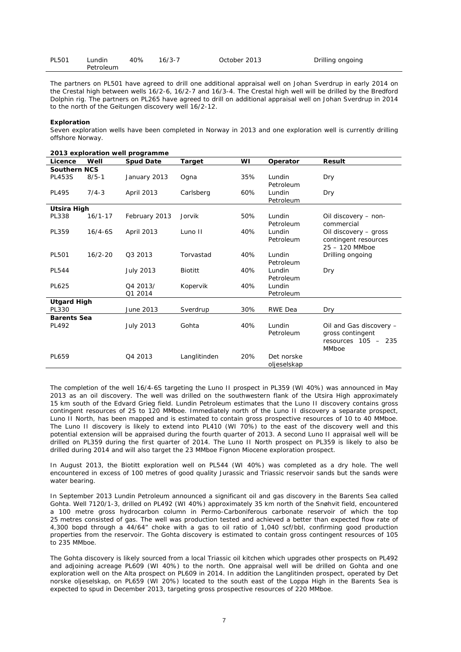| <b>PL501</b> | ∟undin    | 40% | $16/3 - 7$ | October 2013 | Drilling ongoing |
|--------------|-----------|-----|------------|--------------|------------------|
|              | Petroleum |     |            |              |                  |

The partners on PL501 have agreed to drill one additional appraisal well on Johan Sverdrup in early 2014 on the Crestal high between wells 16/2-6, 16/2-7 and 16/3-4. The Crestal high well will be drilled by the Bredford Dolphin rig. The partners on PL265 have agreed to drill on additional appraisal well on Johan Sverdrup in 2014 to the north of the Geitungen discovery well 16/2-12.

#### **Exploration**

Seven exploration wells have been completed in Norway in 2013 and one exploration well is currently drilling offshore Norway.

|                     |             | 2013 exploration well programme |                |     |                |                         |
|---------------------|-------------|---------------------------------|----------------|-----|----------------|-------------------------|
| Licence             | Well        | <b>Spud Date</b>                | <b>Target</b>  | WI  | Operator       | Result                  |
| <b>Southern NCS</b> |             |                                 |                |     |                |                         |
| <b>PL453S</b>       | $8/5 - 1$   | January 2013                    | Ogna           | 35% | Lundin         | Dry                     |
|                     |             |                                 |                |     | Petroleum      |                         |
| <b>PL495</b>        | $7/4 - 3$   | April 2013                      | Carlsberg      | 60% | Lundin         | Dry                     |
|                     |             |                                 |                |     | Petroleum      |                         |
| <b>Utsira High</b>  |             |                                 |                |     |                |                         |
| PL338               | $16/1 - 17$ | February 2013                   | Jorvik         | 50% | Lundin         | Oil discovery - non-    |
|                     |             |                                 |                |     | Petroleum      | commercial              |
| PL359               | $16/4 - 6S$ | April 2013                      | Luno II        | 40% | Lundin         | Oil discovery - gross   |
|                     |             |                                 |                |     | Petroleum      | contingent resources    |
|                     |             |                                 |                |     |                | $25 - 120$ MMboe        |
| PL501               | $16/2 - 20$ | 03 2013                         | Torvastad      | 40% | Lundin         | Drilling ongoing        |
|                     |             |                                 |                |     | Petroleum      |                         |
| <b>PL544</b>        |             | <b>July 2013</b>                | <b>Biotitt</b> | 40% | Lundin         | Dry                     |
|                     |             |                                 |                |     | Petroleum      |                         |
| <b>PL625</b>        |             | Q4 2013/                        | Kopervik       | 40% | Lundin         |                         |
|                     |             | Q1 2014                         |                |     | Petroleum      |                         |
| <b>Utgard High</b>  |             |                                 |                |     |                |                         |
| PL330               |             | June 2013                       | Sverdrup       | 30% | <b>RWE Dea</b> | Dry                     |
| <b>Barents Sea</b>  |             |                                 |                |     |                |                         |
| <b>PL492</b>        |             | <b>July 2013</b>                | Gohta          | 40% | Lundin         | Oil and Gas discovery - |
|                     |             |                                 |                |     | Petroleum      | gross contingent        |
|                     |             |                                 |                |     |                | resources $105 - 235$   |
|                     |             |                                 |                |     |                | MMboe                   |
| PL659               |             | Q4 2013                         | Langlitinden   | 20% | Det norske     |                         |
|                     |             |                                 |                |     | oljeselskap    |                         |

The completion of the well 16/4-6S targeting the Luno II prospect in PL359 (WI 40%) was announced in May 2013 as an oil discovery. The well was drilled on the southwestern flank of the Utsira High approximately 15 km south of the Edvard Grieg field. Lundin Petroleum estimates that the Luno II discovery contains gross contingent resources of 25 to 120 MMboe. Immediately north of the Luno II discovery a separate prospect, Luno II North, has been mapped and is estimated to contain gross prospective resources of 10 to 40 MMboe. The Luno II discovery is likely to extend into PL410 (WI 70%) to the east of the discovery well and this potential extension will be appraised during the fourth quarter of 2013. A second Luno II appraisal well will be drilled on PL359 during the first quarter of 2014. The Luno II North prospect on PL359 is likely to also be drilled during 2014 and will also target the 23 MMboe Fignon Miocene exploration prospect.

In August 2013, the Biotitt exploration well on PL544 (WI 40%) was completed as a dry hole. The well encountered in excess of 100 metres of good quality Jurassic and Triassic reservoir sands but the sands were water bearing.

In September 2013 Lundin Petroleum announced a significant oil and gas discovery in the Barents Sea called Gohta. Well 7120/1-3, drilled on PL492 (WI 40%) approximately 35 km north of the Snøhvit field, encountered a 100 metre gross hydrocarbon column in Permo-Carboniferous carbonate reservoir of which the top 25 metres consisted of gas. The well was production tested and achieved a better than expected flow rate of 4,300 bopd through a 44/64" choke with a gas to oil ratio of 1,040 scf/bbl, confirming good production properties from the reservoir. The Gohta discovery is estimated to contain gross contingent resources of 105 to 235 MMboe.

The Gohta discovery is likely sourced from a local Triassic oil kitchen which upgrades other prospects on PL492 and adjoining acreage PL609 (WI 40%) to the north. One appraisal well will be drilled on Gohta and one exploration well on the Alta prospect on PL609 in 2014. In addition the Langlitinden prospect, operated by Det norske olieselskap, on PL659 (WI 20%) located to the south east of the Loppa High in the Barents Sea is expected to spud in December 2013, targeting gross prospective resources of 220 MMboe.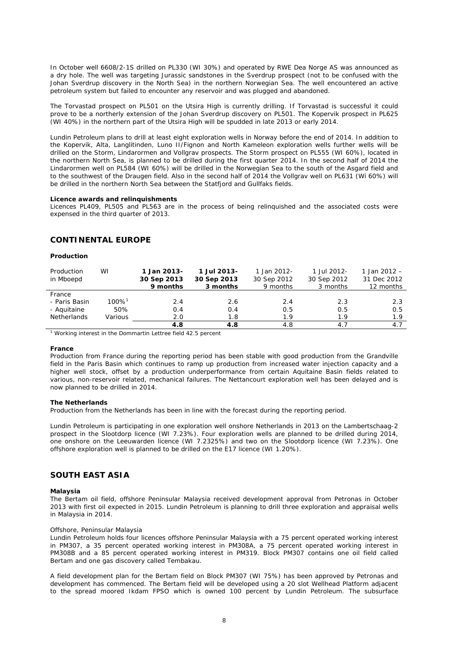In October well 6608/2-1S drilled on PL330 (WI 30%) and operated by RWE Dea Norge AS was announced as a dry hole. The well was targeting Jurassic sandstones in the Sverdrup prospect (not to be confused with the Johan Sverdrup discovery in the North Sea) in the northern Norwegian Sea. The well encountered an active petroleum system but failed to encounter any reservoir and was plugged and abandoned.

The Torvastad prospect on PL501 on the Utsira High is currently drilling. If Torvastad is successful it could prove to be a northerly extension of the Johan Sverdrup discovery on PL501. The Kopervik prospect in PL625 (WI 40%) in the northern part of the Utsira High will be spudded in late 2013 or early 2014.

Lundin Petroleum plans to drill at least eight exploration wells in Norway before the end of 2014. In addition to the Kopervik, Alta, Langlitinden, Luno II/Fignon and North Kameleon exploration wells further wells will be drilled on the Storm, Lindarormen and Vollgrav prospects. The Storm prospect on PL555 (WI 60%), located in the northern North Sea, is planned to be drilled during the first quarter 2014. In the second half of 2014 the Lindarormen well on PL584 (WI 60%) will be drilled in the Norwegian Sea to the south of the Asgard field and to the southwest of the Draugen field. Also in the second half of 2014 the Vollgrav well on PL631 (Wi 60%) will be drilled in the northern North Sea between the Statfjord and Gullfaks fields.

#### **Licence awards and relinquishments**

Licences PL409, PL505 and PL563 are in the process of being relinquished and the associated costs were expensed in the third quarter of 2013.

### **CONTINENTAL EUROPE**

#### **Production**

| Production<br>in Mboepd                                      | WI                                     | 1 Jan 2013-<br>30 Sep 2013<br>9 months | 1 Jul 2013-<br>30 Sep 2013<br>3 months | 1 Jan 2012-<br>30 Sep 2012<br>9 months | 1 Jul 2012-<br>30 Sep 2012<br>3 months | 1 Jan 2012 $-$<br>31 Dec 2012<br>12 months |
|--------------------------------------------------------------|----------------------------------------|----------------------------------------|----------------------------------------|----------------------------------------|----------------------------------------|--------------------------------------------|
| France<br>- Paris Basin<br>- Aquitaine<br><b>Netherlands</b> | $100\%$ <sup>1</sup><br>50%<br>Various | 2.4<br>0.4<br>2.0                      | 2.6<br>0.4<br>1.8                      | 2.4<br>0.5<br>1.9                      | 2.3<br>0.5<br>1.9                      | 2.3<br>0.5<br>1.9                          |
|                                                              |                                        | 4.8                                    | 4.8                                    | 4.8                                    | 4.7                                    | 4.7                                        |

<sup>1</sup> Working interest in the Dommartin Lettree field 42.5 percent

#### **France**

Production from France during the reporting period has been stable with good production from the Grandville field in the Paris Basin which continues to ramp up production from increased water injection capacity and a higher well stock, offset by a production underperformance from certain Aquitaine Basin fields related to various, non-reservoir related, mechanical failures. The Nettancourt exploration well has been delayed and is now planned to be drilled in 2014.

#### **The Netherlands**

Production from the Netherlands has been in line with the forecast during the reporting period.

Lundin Petroleum is participating in one exploration well onshore Netherlands in 2013 on the Lambertschaag-2 prospect in the Slootdorp licence (WI 7.23%). Four exploration wells are planned to be drilled during 2014, one onshore on the Leeuwarden licence (WI 7.2325%) and two on the Slootdorp licence (WI 7.23%). One offshore exploration well is planned to be drilled on the E17 licence (WI 1.20%).

## **SOUTH EAST ASIA**

#### **Malaysia**

The Bertam oil field, offshore Peninsular Malaysia received development approval from Petronas in October 2013 with first oil expected in 2015. Lundin Petroleum is planning to drill three exploration and appraisal wells in Malaysia in 2014.

#### *Offshore, Peninsular Malaysia*

Lundin Petroleum holds four licences offshore Peninsular Malaysia with a 75 percent operated working interest in PM307, a 35 percent operated working interest in PM308A, a 75 percent operated working interest in PM308B and a 85 percent operated working interest in PM319. Block PM307 contains one oil field called Bertam and one gas discovery called Tembakau.

A field development plan for the Bertam field on Block PM307 (WI 75%) has been approved by Petronas and development has commenced. The Bertam field will be developed using a 20 slot Wellhead Platform adjacent to the spread moored Ikdam FPSO which is owned 100 percent by Lundin Petroleum. The subsurface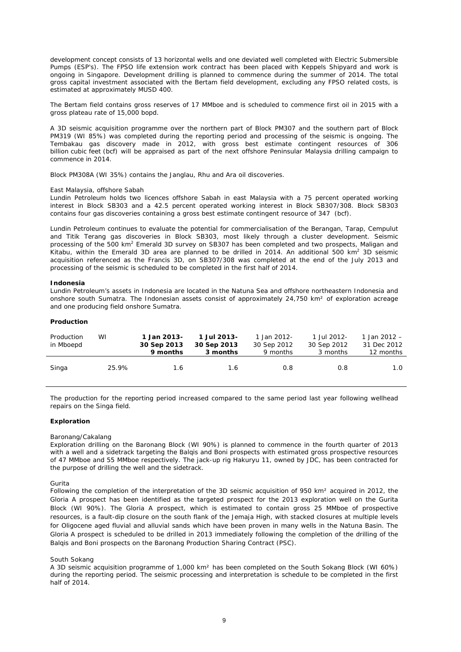development concept consists of 13 horizontal wells and one deviated well completed with Electric Submersible Pumps (ESP's). The FPSO life extension work contract has been placed with Keppels Shipyard and work is ongoing in Singapore. Development drilling is planned to commence during the summer of 2014. The total gross capital investment associated with the Bertam field development, excluding any FPSO related costs, is estimated at approximately MUSD 400.

The Bertam field contains gross reserves of 17 MMboe and is scheduled to commence first oil in 2015 with a gross plateau rate of 15,000 bopd.

A 3D seismic acquisition programme over the northern part of Block PM307 and the southern part of Block PM319 (WI 85%) was completed during the reporting period and processing of the seismic is ongoing. The Tembakau gas discovery made in 2012, with gross best estimate contingent resources of 306 billion cubic feet (bcf) will be appraised as part of the next offshore Peninsular Malaysia drilling campaign to commence in 2014.

Block PM308A (WI 35%) contains the Janglau, Rhu and Ara oil discoveries.

#### *East Malaysia, offshore Sabah*

Lundin Petroleum holds two licences offshore Sabah in east Malaysia with a 75 percent operated working interest in Block SB303 and a 42.5 percent operated working interest in Block SB307/308. Block SB303 contains four gas discoveries containing a gross best estimate contingent resource of 347 (bcf).

Lundin Petroleum continues to evaluate the potential for commercialisation of the Berangan, Tarap, Cempulut and Titik Terang gas discoveries in Block SB303, most likely through a cluster development. Seismic processing of the 500 km<sup>2</sup> Emerald 3D survey on SB307 has been completed and two prospects, Maligan and Kitabu, within the Emerald 3D area are planned to be drilled in 2014. An additional 500 km<sup>2</sup> 3D seismic acquisition referenced as the Francis 3D, on SB307/308 was completed at the end of the July 2013 and processing of the seismic is scheduled to be completed in the first half of 2014.

#### **Indonesia**

Lundin Petroleum's assets in Indonesia are located in the Natuna Sea and offshore northeastern Indonesia and onshore south Sumatra. The Indonesian assets consist of approximately 24,750 km² of exploration acreage and one producing field onshore Sumatra.

### **Production**

| Production<br>in Mboepd | WI    | 1 Jan 2013-<br>30 Sep 2013<br>9 months | 1 Jul 2013-<br>30 Sep 2013<br>3 months | 1 Jan 2012-<br>30 Sep 2012<br>9 months | 1 Jul 2012-<br>30 Sep 2012<br>3 months | 1 Jan 2012 $-$<br>31 Dec 2012<br>12 months |
|-------------------------|-------|----------------------------------------|----------------------------------------|----------------------------------------|----------------------------------------|--------------------------------------------|
| Singa                   | 25.9% | 1.6                                    | 1.6                                    | 0.8                                    | 0.8                                    | 1.0                                        |

The production for the reporting period increased compared to the same period last year following wellhead repairs on the Singa field.

#### **Exploration**

#### *Baronang/Cakalang*

Exploration drilling on the Baronang Block (WI 90%) is planned to commence in the fourth quarter of 2013 with a well and a sidetrack targeting the Balqis and Boni prospects with estimated gross prospective resources of 47 MMboe and 55 MMboe respectively. The jack-up rig Hakuryu 11, owned by JDC, has been contracted for the purpose of drilling the well and the sidetrack.

#### *Gurita*

Following the completion of the interpretation of the 3D seismic acquisition of 950 km² acquired in 2012, the Gloria A prospect has been identified as the targeted prospect for the 2013 exploration well on the Gurita Block (WI 90%). The Gloria A prospect, which is estimated to contain gross 25 MMboe of prospective resources, is a fault-dip closure on the south flank of the Jemaja High, with stacked closures at multiple levels for Oligocene aged fluvial and alluvial sands which have been proven in many wells in the Natuna Basin. The Gloria A prospect is scheduled to be drilled in 2013 immediately following the completion of the drilling of the Balqis and Boni prospects on the Baronang Production Sharing Contract (PSC).

#### *South Sokang*

A 3D seismic acquisition programme of 1,000 km² has been completed on the South Sokang Block (WI 60%) during the reporting period. The seismic processing and interpretation is schedule to be completed in the first half of 2014.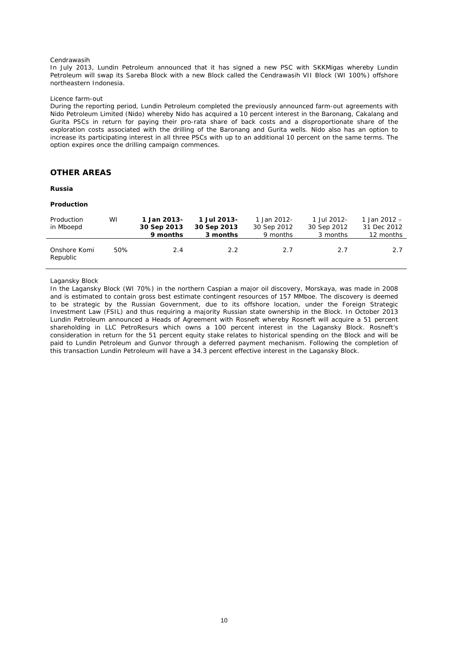#### *Cendrawasih*

In July 2013, Lundin Petroleum announced that it has signed a new PSC with SKKMigas whereby Lundin Petroleum will swap its Sareba Block with a new Block called the Cendrawasih VII Block (WI 100%) offshore northeastern Indonesia.

#### *Licence farm-out*

During the reporting period, Lundin Petroleum completed the previously announced farm-out agreements with Nido Petroleum Limited (Nido) whereby Nido has acquired a 10 percent interest in the Baronang, Cakalang and Gurita PSCs in return for paying their pro-rata share of back costs and a disproportionate share of the exploration costs associated with the drilling of the Baronang and Gurita wells. Nido also has an option to increase its participating interest in all three PSCs with up to an additional 10 percent on the same terms. The option expires once the drilling campaign commences.

## **OTHER AREAS**

#### **Russia**

#### **Production**

| Production<br>in Mboepd  | W١  | 1 Jan 2013-<br>30 Sep 2013<br>9 months | 1 Jul 2013-<br>30 Sep 2013<br>3 months | 1 Jan 2012-<br>30 Sep 2012<br>9 months | 1 Jul 2012-<br>30 Sep 2012<br>3 months | 1 Jan 2012 $-$<br>31 Dec 2012<br>12 months |
|--------------------------|-----|----------------------------------------|----------------------------------------|----------------------------------------|----------------------------------------|--------------------------------------------|
| Onshore Komi<br>Republic | 50% | 2.4                                    | 2.2                                    | 2.7                                    | 2.7                                    | 2.7                                        |

#### *Lagansky Block*

In the Lagansky Block (WI 70%) in the northern Caspian a major oil discovery, Morskaya, was made in 2008 and is estimated to contain gross best estimate contingent resources of 157 MMboe. The discovery is deemed to be strategic by the Russian Government, due to its offshore location, under the Foreign Strategic Investment Law (FSIL) and thus requiring a majority Russian state ownership in the Block. In October 2013 Lundin Petroleum announced a Heads of Agreement with Rosneft whereby Rosneft will acquire a 51 percent shareholding in LLC PetroResurs which owns a 100 percent interest in the Lagansky Block. Rosneft's consideration in return for the 51 percent equity stake relates to historical spending on the Block and will be paid to Lundin Petroleum and Gunvor through a deferred payment mechanism. Following the completion of this transaction Lundin Petroleum will have a 34.3 percent effective interest in the Lagansky Block.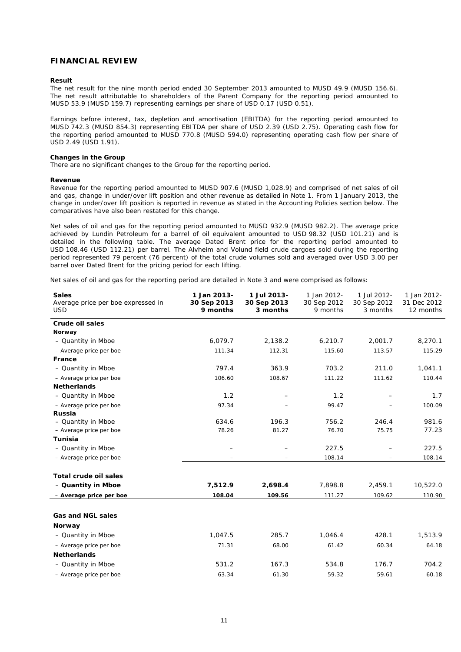### **FINANCIAL REVIEW**

### **Result**

The net result for the nine month period ended 30 September 2013 amounted to MUSD 49.9 (MUSD 156.6). The net result attributable to shareholders of the Parent Company for the reporting period amounted to MUSD 53.9 (MUSD 159.7) representing earnings per share of USD 0.17 (USD 0.51).

Earnings before interest, tax, depletion and amortisation (EBITDA) for the reporting period amounted to MUSD 742.3 (MUSD 854.3) representing EBITDA per share of USD 2.39 (USD 2.75). Operating cash flow for the reporting period amounted to MUSD 770.8 (MUSD 594.0) representing operating cash flow per share of USD 2.49 (USD 1.91).

#### **Changes in the Group**

There are no significant changes to the Group for the reporting period.

#### **Revenue**

Revenue for the reporting period amounted to MUSD 907.6 (MUSD 1,028.9) and comprised of net sales of oil and gas, change in under/over lift position and other revenue as detailed in Note 1. From 1 January 2013, the change in under/over lift position is reported in revenue as stated in the Accounting Policies section below. The comparatives have also been restated for this change.

Net sales of oil and gas for the reporting period amounted to MUSD 932.9 (MUSD 982.2). The average price achieved by Lundin Petroleum for a barrel of oil equivalent amounted to USD 98.32 (USD 101.21) and is detailed in the following table. The average Dated Brent price for the reporting period amounted to USD 108.46 (USD 112.21) per barrel. The Alvheim and Volund field crude cargoes sold during the reporting period represented 79 percent (76 percent) of the total crude volumes sold and averaged over USD 3.00 per barrel over Dated Brent for the pricing period for each lifting.

Net sales of oil and gas for the reporting period are detailed in Note 3 and were comprised as follows:

| <b>Sales</b><br>Average price per boe expressed in<br><b>USD</b> | 1 Jan 2013-<br>30 Sep 2013<br>9 months | 1 Jul 2013-<br>30 Sep 2013<br>3 months | 1 Jan 2012-<br>30 Sep 2012<br>9 months | 1 Jul 2012-<br>30 Sep 2012<br>3 months | 1 Jan 2012-<br>31 Dec 2012<br>12 months |
|------------------------------------------------------------------|----------------------------------------|----------------------------------------|----------------------------------------|----------------------------------------|-----------------------------------------|
| <b>Crude oil sales</b>                                           |                                        |                                        |                                        |                                        |                                         |
| Norway                                                           |                                        |                                        |                                        |                                        |                                         |
| - Quantity in Mboe                                               | 6,079.7                                | 2,138.2                                | 6,210.7                                | 2,001.7                                | 8,270.1                                 |
| - Average price per boe                                          | 111.34                                 | 112.31                                 | 115.60                                 | 113.57                                 | 115.29                                  |
| France                                                           |                                        |                                        |                                        |                                        |                                         |
| - Quantity in Mboe                                               | 797.4                                  | 363.9                                  | 703.2                                  | 211.0                                  | 1,041.1                                 |
| - Average price per boe                                          | 106.60                                 | 108.67                                 | 111.22                                 | 111.62                                 | 110.44                                  |
| <b>Netherlands</b>                                               |                                        |                                        |                                        |                                        |                                         |
| - Quantity in Mboe                                               | 1.2                                    |                                        | 1.2                                    |                                        | 1.7                                     |
| - Average price per boe                                          | 97.34                                  |                                        | 99.47                                  |                                        | 100.09                                  |
| Russia                                                           |                                        |                                        |                                        |                                        |                                         |
| - Quantity in Mboe                                               | 634.6                                  | 196.3                                  | 756.2                                  | 246.4                                  | 981.6                                   |
| - Average price per boe                                          | 78.26                                  | 81.27                                  | 76.70                                  | 75.75                                  | 77.23                                   |
| <b>Tunisia</b>                                                   |                                        |                                        |                                        |                                        |                                         |
| - Quantity in Mboe                                               |                                        |                                        | 227.5                                  |                                        | 227.5                                   |
| - Average price per boe                                          |                                        |                                        | 108.14                                 |                                        | 108.14                                  |
| <b>Total crude oil sales</b>                                     |                                        |                                        |                                        |                                        |                                         |
| - Quantity in Mboe                                               | 7,512.9                                | 2,698.4                                | 7,898.8                                | 2,459.1                                | 10,522.0                                |
| - Average price per boe                                          | 108.04                                 | 109.56                                 | 111.27                                 | 109.62                                 | 110.90                                  |
| <b>Gas and NGL sales</b>                                         |                                        |                                        |                                        |                                        |                                         |
| Norway                                                           |                                        |                                        |                                        |                                        |                                         |
| - Quantity in Mboe                                               | 1,047.5                                | 285.7                                  | 1,046.4                                | 428.1                                  | 1,513.9                                 |
| - Average price per boe                                          | 71.31                                  | 68.00                                  | 61.42                                  | 60.34                                  | 64.18                                   |
| <b>Netherlands</b>                                               |                                        |                                        |                                        |                                        |                                         |
| - Quantity in Mboe                                               | 531.2                                  | 167.3                                  | 534.8                                  | 176.7                                  | 704.2                                   |
| - Average price per boe                                          | 63.34                                  | 61.30                                  | 59.32                                  | 59.61                                  | 60.18                                   |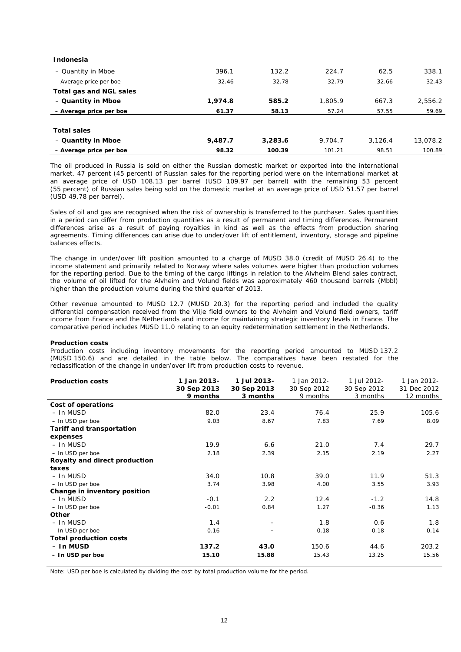| Indonesia               |         |         |         |         |          |
|-------------------------|---------|---------|---------|---------|----------|
| - Quantity in Mboe      | 396.1   | 132.2   | 224.7   | 62.5    | 338.1    |
| - Average price per boe | 32.46   | 32.78   | 32.79   | 32.66   | 32.43    |
| Total gas and NGL sales |         |         |         |         |          |
| - Quantity in Mboe      | 1,974.8 | 585.2   | 1,805.9 | 667.3   | 2,556.2  |
| - Average price per boe | 61.37   | 58.13   | 57.24   | 57.55   | 59.69    |
|                         |         |         |         |         |          |
| <b>Total sales</b>      |         |         |         |         |          |
| - Quantity in Mboe      | 9.487.7 | 3,283.6 | 9.704.7 | 3.126.4 | 13,078.2 |
| - Average price per boe | 98.32   | 100.39  | 101.21  | 98.51   | 100.89   |

The oil produced in Russia is sold on either the Russian domestic market or exported into the international market. 47 percent (45 percent) of Russian sales for the reporting period were on the international market at an average price of USD 108.13 per barrel (USD 109.97 per barrel) with the remaining 53 percent (55 percent) of Russian sales being sold on the domestic market at an average price of USD 51.57 per barrel (USD 49.78 per barrel).

Sales of oil and gas are recognised when the risk of ownership is transferred to the purchaser. Sales quantities in a period can differ from production quantities as a result of permanent and timing differences. Permanent differences arise as a result of paying royalties in kind as well as the effects from production sharing agreements. Timing differences can arise due to under/over lift of entitlement, inventory, storage and pipeline balances effects.

The change in under/over lift position amounted to a charge of MUSD 38.0 (credit of MUSD 26.4) to the income statement and primarily related to Norway where sales volumes were higher than production volumes for the reporting period. Due to the timing of the cargo liftings in relation to the Alvheim Blend sales contract, the volume of oil lifted for the Alvheim and Volund fields was approximately 460 thousand barrels (Mbbl) higher than the production volume during the third quarter of 2013.

Other revenue amounted to MUSD 12.7 (MUSD 20.3) for the reporting period and included the quality differential compensation received from the Vilje field owners to the Alvheim and Volund field owners, tariff income from France and the Netherlands and income for maintaining strategic inventory levels in France. The comparative period includes MUSD 11.0 relating to an equity redetermination settlement in the Netherlands.

#### **Production costs**

Production costs including inventory movements for the reporting period amounted to MUSD 137.2 (MUSD 150.6) and are detailed in the table below. The comparatives have been restated for the reclassification of the change in under/over lift from production costs to revenue.

| <b>Production costs</b>       | 1 Jan 2013-<br>30 Sep 2013<br>9 months | 1 Jul 2013-<br>30 Sep 2013<br>3 months | 1 Jan 2012-<br>30 Sep 2012<br>9 months | 1 Jul 2012-<br>30 Sep 2012<br>3 months | 1 Jan 2012-<br>31 Dec 2012<br>12 months |
|-------------------------------|----------------------------------------|----------------------------------------|----------------------------------------|----------------------------------------|-----------------------------------------|
| Cost of operations            |                                        |                                        |                                        |                                        |                                         |
| – In MUSD                     | 82.0                                   | 23.4                                   | 76.4                                   | 25.9                                   | 105.6                                   |
| - In USD per boe              | 9.03                                   | 8.67                                   | 7.83                                   | 7.69                                   | 8.09                                    |
| Tariff and transportation     |                                        |                                        |                                        |                                        |                                         |
| expenses                      |                                        |                                        |                                        |                                        |                                         |
| – In MUSD                     | 19.9                                   | 6.6                                    | 21.0                                   | 7.4                                    | 29.7                                    |
| - In USD per boe              | 2.18                                   | 2.39                                   | 2.15                                   | 2.19                                   | 2.27                                    |
| Royalty and direct production |                                        |                                        |                                        |                                        |                                         |
| taxes                         |                                        |                                        |                                        |                                        |                                         |
| – In MUSD                     | 34.0                                   | 10.8                                   | 39.0                                   | 11.9                                   | 51.3                                    |
| - In USD per boe              | 3.74                                   | 3.98                                   | 4.00                                   | 3.55                                   | 3.93                                    |
| Change in inventory position  |                                        |                                        |                                        |                                        |                                         |
| – In MUSD                     | $-0.1$                                 | 2.2                                    | 12.4                                   | $-1.2$                                 | 14.8                                    |
| - In USD per boe              | $-0.01$                                | 0.84                                   | 1.27                                   | $-0.36$                                | 1.13                                    |
| <b>Other</b>                  |                                        |                                        |                                        |                                        |                                         |
| – In MUSD                     | 1.4                                    |                                        | 1.8                                    | 0.6                                    | 1.8                                     |
| - In USD per boe              | 0.16                                   |                                        | 0.18                                   | 0.18                                   | 0.14                                    |
| <b>Total production costs</b> |                                        |                                        |                                        |                                        |                                         |
| - In MUSD                     | 137.2                                  | 43.0                                   | 150.6                                  | 44.6                                   | 203.2                                   |
| - In USD per boe              | 15.10                                  | 15.88                                  | 15.43                                  | 13.25                                  | 15.56                                   |

Note: USD per boe is calculated by dividing the cost by total production volume for the period.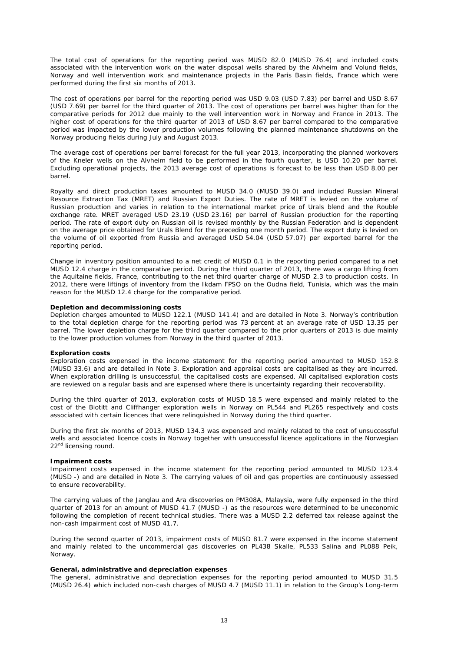The total cost of operations for the reporting period was MUSD 82.0 (MUSD 76.4) and included costs associated with the intervention work on the water disposal wells shared by the Alvheim and Volund fields, Norway and well intervention work and maintenance projects in the Paris Basin fields, France which were performed during the first six months of 2013.

The cost of operations per barrel for the reporting period was USD 9.03 (USD 7.83) per barrel and USD 8.67 (USD 7.69) per barrel for the third quarter of 2013. The cost of operations per barrel was higher than for the comparative periods for 2012 due mainly to the well intervention work in Norway and France in 2013. The higher cost of operations for the third quarter of 2013 of USD 8.67 per barrel compared to the comparative period was impacted by the lower production volumes following the planned maintenance shutdowns on the Norway producing fields during July and August 2013.

The average cost of operations per barrel forecast for the full year 2013, incorporating the planned workovers of the Kneler wells on the Alvheim field to be performed in the fourth quarter, is USD 10.20 per barrel. Excluding operational projects, the 2013 average cost of operations is forecast to be less than USD 8.00 per barrel.

Royalty and direct production taxes amounted to MUSD 34.0 (MUSD 39.0) and included Russian Mineral Resource Extraction Tax (MRET) and Russian Export Duties. The rate of MRET is levied on the volume of Russian production and varies in relation to the international market price of Urals blend and the Rouble exchange rate. MRET averaged USD 23.19 (USD 23.16) per barrel of Russian production for the reporting period. The rate of export duty on Russian oil is revised monthly by the Russian Federation and is dependent on the average price obtained for Urals Blend for the preceding one month period. The export duty is levied on the volume of oil exported from Russia and averaged USD 54.04 (USD 57.07) per exported barrel for the reporting period.

Change in inventory position amounted to a net credit of MUSD 0.1 in the reporting period compared to a net MUSD 12.4 charge in the comparative period. During the third quarter of 2013, there was a cargo lifting from the Aquitaine fields, France, contributing to the net third quarter charge of MUSD 2.3 to production costs. In 2012, there were liftings of inventory from the Ikdam FPSO on the Oudna field, Tunisia, which was the main reason for the MUSD 12.4 charge for the comparative period.

#### **Depletion and decommissioning costs**

Depletion charges amounted to MUSD 122.1 (MUSD 141.4) and are detailed in Note 3. Norway's contribution to the total depletion charge for the reporting period was 73 percent at an average rate of USD 13.35 per barrel. The lower depletion charge for the third quarter compared to the prior quarters of 2013 is due mainly to the lower production volumes from Norway in the third quarter of 2013.

#### **Exploration costs**

Exploration costs expensed in the income statement for the reporting period amounted to MUSD 152.8 (MUSD 33.6) and are detailed in Note 3. Exploration and appraisal costs are capitalised as they are incurred. When exploration drilling is unsuccessful, the capitalised costs are expensed. All capitalised exploration costs are reviewed on a regular basis and are expensed where there is uncertainty regarding their recoverability.

During the third quarter of 2013, exploration costs of MUSD 18.5 were expensed and mainly related to the cost of the Biotitt and Cliffhanger exploration wells in Norway on PL544 and PL265 respectively and costs associated with certain licences that were relinquished in Norway during the third quarter.

During the first six months of 2013, MUSD 134.3 was expensed and mainly related to the cost of unsuccessful wells and associated licence costs in Norway together with unsuccessful licence applications in the Norwegian 22<sup>nd</sup> licensing round.

#### **Impairment costs**

Impairment costs expensed in the income statement for the reporting period amounted to MUSD 123.4 (MUSD -) and are detailed in Note 3. The carrying values of oil and gas properties are continuously assessed to ensure recoverability.

The carrying values of the Janglau and Ara discoveries on PM308A, Malaysia, were fully expensed in the third quarter of 2013 for an amount of MUSD 41.7 (MUSD -) as the resources were determined to be uneconomic following the completion of recent technical studies. There was a MUSD 2.2 deferred tax release against the non-cash impairment cost of MUSD 41.7.

During the second quarter of 2013, impairment costs of MUSD 81.7 were expensed in the income statement and mainly related to the uncommercial gas discoveries on PL438 Skalle, PL533 Salina and PL088 Peik, Norway.

#### **General, administrative and depreciation expenses**

The general, administrative and depreciation expenses for the reporting period amounted to MUSD 31.5 (MUSD 26.4) which included non-cash charges of MUSD 4.7 (MUSD 11.1) in relation to the Group's Long-term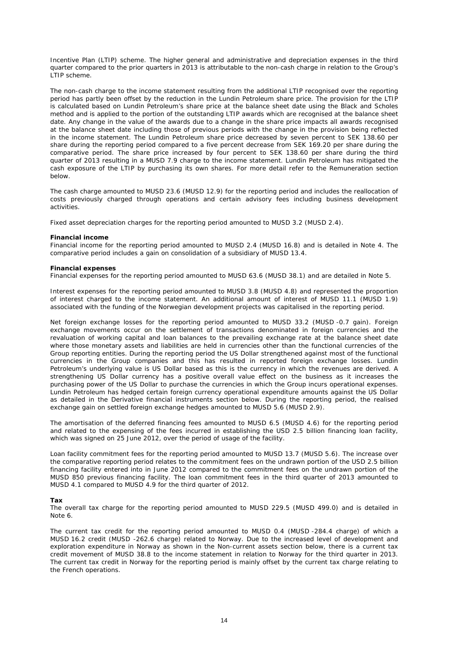Incentive Plan (LTIP) scheme. The higher general and administrative and depreciation expenses in the third quarter compared to the prior quarters in 2013 is attributable to the non-cash charge in relation to the Group's LTIP scheme.

The non-cash charge to the income statement resulting from the additional LTIP recognised over the reporting period has partly been offset by the reduction in the Lundin Petroleum share price. The provision for the LTIP is calculated based on Lundin Petroleum's share price at the balance sheet date using the Black and Scholes method and is applied to the portion of the outstanding LTIP awards which are recognised at the balance sheet date. Any change in the value of the awards due to a change in the share price impacts all awards recognised at the balance sheet date including those of previous periods with the change in the provision being reflected in the income statement. The Lundin Petroleum share price decreased by seven percent to SEK 138.60 per share during the reporting period compared to a five percent decrease from SEK 169.20 per share during the comparative period. The share price increased by four percent to SEK 138.60 per share during the third quarter of 2013 resulting in a MUSD 7.9 charge to the income statement. Lundin Petroleum has mitigated the cash exposure of the LTIP by purchasing its own shares. For more detail refer to the Remuneration section below.

The cash charge amounted to MUSD 23.6 (MUSD 12.9) for the reporting period and includes the reallocation of costs previously charged through operations and certain advisory fees including business development activities.

Fixed asset depreciation charges for the reporting period amounted to MUSD 3.2 (MUSD 2.4).

#### **Financial income**

Financial income for the reporting period amounted to MUSD 2.4 (MUSD 16.8) and is detailed in Note 4. The comparative period includes a gain on consolidation of a subsidiary of MUSD 13.4.

#### **Financial expenses**

Financial expenses for the reporting period amounted to MUSD 63.6 (MUSD 38.1) and are detailed in Note 5.

Interest expenses for the reporting period amounted to MUSD 3.8 (MUSD 4.8) and represented the proportion of interest charged to the income statement. An additional amount of interest of MUSD 11.1 (MUSD 1.9) associated with the funding of the Norwegian development projects was capitalised in the reporting period.

Net foreign exchange losses for the reporting period amounted to MUSD 33.2 (MUSD -0.7 gain). Foreign exchange movements occur on the settlement of transactions denominated in foreign currencies and the revaluation of working capital and loan balances to the prevailing exchange rate at the balance sheet date where those monetary assets and liabilities are held in currencies other than the functional currencies of the Group reporting entities. During the reporting period the US Dollar strengthened against most of the functional currencies in the Group companies and this has resulted in reported foreign exchange losses. Lundin Petroleum's underlying value is US Dollar based as this is the currency in which the revenues are derived. A strengthening US Dollar currency has a positive overall value effect on the business as it increases the purchasing power of the US Dollar to purchase the currencies in which the Group incurs operational expenses. Lundin Petroleum has hedged certain foreign currency operational expenditure amounts against the US Dollar as detailed in the Derivative financial instruments section below. During the reporting period, the realised exchange gain on settled foreign exchange hedges amounted to MUSD 5.6 (MUSD 2.9).

The amortisation of the deferred financing fees amounted to MUSD 6.5 (MUSD 4.6) for the reporting period and related to the expensing of the fees incurred in establishing the USD 2.5 billion financing loan facility, which was signed on 25 June 2012, over the period of usage of the facility.

Loan facility commitment fees for the reporting period amounted to MUSD 13.7 (MUSD 5.6). The increase over the comparative reporting period relates to the commitment fees on the undrawn portion of the USD 2.5 billion financing facility entered into in June 2012 compared to the commitment fees on the undrawn portion of the MUSD 850 previous financing facility. The loan commitment fees in the third quarter of 2013 amounted to MUSD 4.1 compared to MUSD 4.9 for the third quarter of 2012.

#### **Tax**

The overall tax charge for the reporting period amounted to MUSD 229.5 (MUSD 499.0) and is detailed in Note 6.

The current tax credit for the reporting period amounted to MUSD 0.4 (MUSD -284.4 charge) of which a MUSD 16.2 credit (MUSD -262.6 charge) related to Norway. Due to the increased level of development and exploration expenditure in Norway as shown in the Non-current assets section below, there is a current tax credit movement of MUSD 38.8 to the income statement in relation to Norway for the third quarter in 2013. The current tax credit in Norway for the reporting period is mainly offset by the current tax charge relating to the French operations.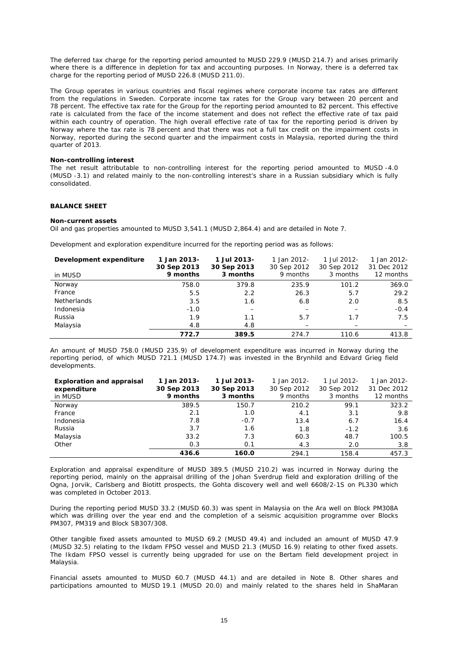The deferred tax charge for the reporting period amounted to MUSD 229.9 (MUSD 214.7) and arises primarily where there is a difference in depletion for tax and accounting purposes. In Norway, there is a deferred tax charge for the reporting period of MUSD 226.8 (MUSD 211.0).

The Group operates in various countries and fiscal regimes where corporate income tax rates are different from the regulations in Sweden. Corporate income tax rates for the Group vary between 20 percent and 78 percent. The effective tax rate for the Group for the reporting period amounted to 82 percent. This effective rate is calculated from the face of the income statement and does not reflect the effective rate of tax paid within each country of operation. The high overall effective rate of tax for the reporting period is driven by Norway where the tax rate is 78 percent and that there was not a full tax credit on the impairment costs in Norway, reported during the second quarter and the impairment costs in Malaysia, reported during the third quarter of 2013.

#### **Non-controlling interest**

The net result attributable to non-controlling interest for the reporting period amounted to MUSD -4.0 (MUSD -3.1) and related mainly to the non-controlling interest's share in a Russian subsidiary which is fully consolidated.

#### **BALANCE SHEET**

#### **Non-current assets**

Oil and gas properties amounted to MUSD 3,541.1 (MUSD 2,864.4) and are detailed in Note 7.

Development and exploration expenditure incurred for the reporting period was as follows:

| Development expenditure<br>in MUSD | 1 Jan 2013-<br>30 Sep 2013<br>9 months | 1 Jul 2013-<br>30 Sep 2013<br>3 months | 1 Jan 2012-<br>30 Sep 2012<br>9 months | 1 Jul 2012-<br>30 Sep 2012<br>3 months | 1 Jan 2012-<br>31 Dec 2012<br>12 months |
|------------------------------------|----------------------------------------|----------------------------------------|----------------------------------------|----------------------------------------|-----------------------------------------|
| Norway                             | 758.0                                  | 379.8                                  | 235.9                                  | 101.2                                  | 369.0                                   |
| France                             | 5.5                                    | 2.2                                    | 26.3                                   | 5.7                                    | 29.2                                    |
| <b>Netherlands</b>                 | 3.5                                    | 1.6                                    | 6.8                                    | 2.0                                    | 8.5                                     |
| Indonesia                          | $-1.0$                                 |                                        |                                        |                                        | $-0.4$                                  |
| Russia                             | 1.9                                    | 1.1                                    | 5.7                                    | 1.7                                    | 7.5                                     |
| Malaysia                           | 4.8                                    | 4.8                                    |                                        |                                        |                                         |
|                                    | 772.7                                  | 389.5                                  | 274.7                                  | 110.6                                  | 413.8                                   |

An amount of MUSD 758.0 (MUSD 235.9) of development expenditure was incurred in Norway during the reporting period, of which MUSD 721.1 (MUSD 174.7) was invested in the Brynhild and Edvard Grieg field developments.

| <b>Exploration and appraisal</b><br>expenditure | 1 Jan 2013-<br>30 Sep 2013 | 1 Jul 2013-<br>30 Sep 2013 | 1 Jan 2012-<br>30 Sep 2012 | 1 Jul 2012-<br>30 Sep 2012 | 1 Jan 2012-<br>31 Dec 2012 |
|-------------------------------------------------|----------------------------|----------------------------|----------------------------|----------------------------|----------------------------|
| in MUSD                                         | 9 months                   | 3 months                   | 9 months                   | 3 months                   | 12 months                  |
| Norway                                          | 389.5                      | 150.7                      | 210.2                      | 99.1                       | 323.2                      |
| France                                          | 2.1                        | 1.0                        | 4.1                        | 3.1                        | 9.8                        |
| Indonesia                                       | 7.8                        | $-0.7$                     | 13.4                       | 6.7                        | 16.4                       |
| Russia                                          | 3.7                        | 1.6                        | 1.8                        | $-1.2$                     | 3.6                        |
| Malaysia                                        | 33.2                       | 7.3                        | 60.3                       | 48.7                       | 100.5                      |
| Other                                           | 0.3                        | 0.1                        | 4.3                        | 2.0                        | 3.8                        |
|                                                 | 436.6                      | 160.0                      | 294.1                      | 158.4                      | 457.3                      |

Exploration and appraisal expenditure of MUSD 389.5 (MUSD 210.2) was incurred in Norway during the reporting period, mainly on the appraisal drilling of the Johan Sverdrup field and exploration drilling of the Ogna, Jorvik, Carlsberg and Biotitt prospects, the Gohta discovery well and well 6608/2-1S on PL330 which was completed in October 2013.

During the reporting period MUSD 33.2 (MUSD 60.3) was spent in Malaysia on the Ara well on Block PM308A which was drilling over the year end and the completion of a seismic acquisition programme over Blocks PM307, PM319 and Block SB307/308.

Other tangible fixed assets amounted to MUSD 69.2 (MUSD 49.4) and included an amount of MUSD 47.9 (MUSD 32.5) relating to the Ikdam FPSO vessel and MUSD 21.3 (MUSD 16.9) relating to other fixed assets. The Ikdam FPSO vessel is currently being upgraded for use on the Bertam field development project in Malaysia.

Financial assets amounted to MUSD 60.7 (MUSD 44.1) and are detailed in Note 8. Other shares and participations amounted to MUSD 19.1 (MUSD 20.0) and mainly related to the shares held in ShaMaran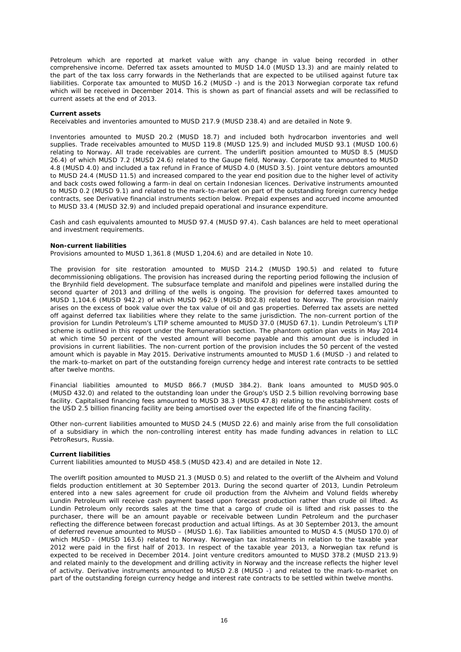Petroleum which are reported at market value with any change in value being recorded in other comprehensive income. Deferred tax assets amounted to MUSD 14.0 (MUSD 13.3) and are mainly related to the part of the tax loss carry forwards in the Netherlands that are expected to be utilised against future tax liabilities. Corporate tax amounted to MUSD 16.2 (MUSD -) and is the 2013 Norwegian corporate tax refund which will be received in December 2014. This is shown as part of financial assets and will be reclassified to current assets at the end of 2013.

#### **Current assets**

Receivables and inventories amounted to MUSD 217.9 (MUSD 238.4) and are detailed in Note 9.

Inventories amounted to MUSD 20.2 (MUSD 18.7) and included both hydrocarbon inventories and well supplies. Trade receivables amounted to MUSD 119.8 (MUSD 125.9) and included MUSD 93.1 (MUSD 100.6) relating to Norway. All trade receivables are current. The underlift position amounted to MUSD 8.5 (MUSD 26.4) of which MUSD 7.2 (MUSD 24.6) related to the Gaupe field, Norway. Corporate tax amounted to MUSD 4.8 (MUSD 4.0) and included a tax refund in France of MUSD 4.0 (MUSD 3.5). Joint venture debtors amounted to MUSD 24.4 (MUSD 11.5) and increased compared to the year end position due to the higher level of activity and back costs owed following a farm-in deal on certain Indonesian licences. Derivative instruments amounted to MUSD 0.2 (MUSD 9.1) and related to the mark-to-market on part of the outstanding foreign currency hedge contracts, see Derivative financial instruments section below. Prepaid expenses and accrued income amounted to MUSD 33.4 (MUSD 32.9) and included prepaid operational and insurance expenditure.

Cash and cash equivalents amounted to MUSD 97.4 (MUSD 97.4). Cash balances are held to meet operational and investment requirements.

#### **Non-current liabilities**

Provisions amounted to MUSD 1,361.8 (MUSD 1,204.6) and are detailed in Note 10.

The provision for site restoration amounted to MUSD 214.2 (MUSD 190.5) and related to future decommissioning obligations. The provision has increased during the reporting period following the inclusion of the Brynhild field development. The subsurface template and manifold and pipelines were installed during the second quarter of 2013 and drilling of the wells is ongoing. The provision for deferred taxes amounted to MUSD 1,104.6 (MUSD 942.2) of which MUSD 962.9 (MUSD 802.8) related to Norway. The provision mainly arises on the excess of book value over the tax value of oil and gas properties. Deferred tax assets are netted off against deferred tax liabilities where they relate to the same jurisdiction. The non-current portion of the provision for Lundin Petroleum's LTIP scheme amounted to MUSD 37.0 (MUSD 67.1). Lundin Petroleum's LTIP scheme is outlined in this report under the Remuneration section. The phantom option plan vests in May 2014 at which time 50 percent of the vested amount will become payable and this amount due is included in provisions in current liabilities. The non-current portion of the provision includes the 50 percent of the vested amount which is payable in May 2015. Derivative instruments amounted to MUSD 1.6 (MUSD -) and related to the mark-to-market on part of the outstanding foreign currency hedge and interest rate contracts to be settled after twelve months.

Financial liabilities amounted to MUSD 866.7 (MUSD 384.2). Bank loans amounted to MUSD 905.0 (MUSD 432.0) and related to the outstanding loan under the Group's USD 2.5 billion revolving borrowing base facility. Capitalised financing fees amounted to MUSD 38.3 (MUSD 47.8) relating to the establishment costs of the USD 2.5 billion financing facility are being amortised over the expected life of the financing facility.

Other non-current liabilities amounted to MUSD 24.5 (MUSD 22.6) and mainly arise from the full consolidation of a subsidiary in which the non-controlling interest entity has made funding advances in relation to LLC PetroResurs, Russia.

#### **Current liabilities**

Current liabilities amounted to MUSD 458.5 (MUSD 423.4) and are detailed in Note 12.

The overlift position amounted to MUSD 21.3 (MUSD 0.5) and related to the overlift of the Alvheim and Volund fields production entitlement at 30 September 2013. During the second quarter of 2013, Lundin Petroleum entered into a new sales agreement for crude oil production from the Alvheim and Volund fields whereby Lundin Petroleum will receive cash payment based upon forecast production rather than crude oil lifted. As Lundin Petroleum only records sales at the time that a cargo of crude oil is lifted and risk passes to the purchaser, there will be an amount payable or receivable between Lundin Petroleum and the purchaser reflecting the difference between forecast production and actual liftings. As at 30 September 2013, the amount of deferred revenue amounted to MUSD – (MUSD 1.6). Tax liabilities amounted to MUSD 4.5 (MUSD 170.0) of which MUSD - (MUSD 163.6) related to Norway. Norwegian tax instalments in relation to the taxable year 2012 were paid in the first half of 2013. In respect of the taxable year 2013, a Norwegian tax refund is expected to be received in December 2014. Joint venture creditors amounted to MUSD 378.2 (MUSD 213.9) and related mainly to the development and drilling activity in Norway and the increase reflects the higher level of activity. Derivative instruments amounted to MUSD 2.8 (MUSD -) and related to the mark-to-market on part of the outstanding foreign currency hedge and interest rate contracts to be settled within twelve months.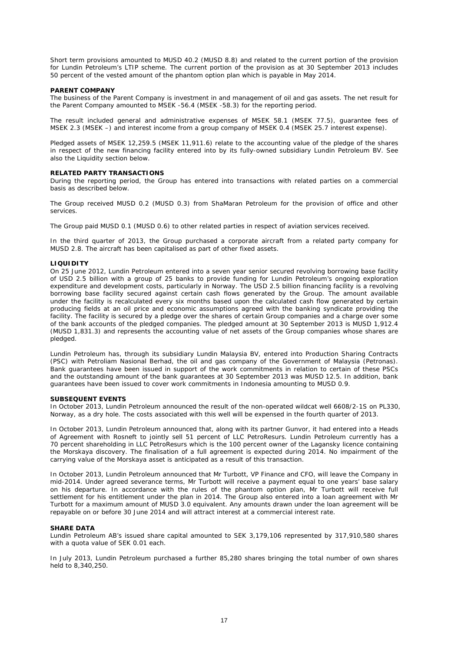Short term provisions amounted to MUSD 40.2 (MUSD 8.8) and related to the current portion of the provision for Lundin Petroleum's LTIP scheme. The current portion of the provision as at 30 September 2013 includes 50 percent of the vested amount of the phantom option plan which is payable in May 2014.

#### **PARENT COMPANY**

The business of the Parent Company is investment in and management of oil and gas assets. The net result for the Parent Company amounted to MSEK -56.4 (MSEK -58.3) for the reporting period.

The result included general and administrative expenses of MSEK 58.1 (MSEK 77.5), guarantee fees of MSEK 2.3 (MSEK –) and interest income from a group company of MSEK 0.4 (MSEK 25.7 interest expense).

Pledged assets of MSEK 12,259.5 (MSEK 11,911.6) relate to the accounting value of the pledge of the shares in respect of the new financing facility entered into by its fully-owned subsidiary Lundin Petroleum BV. See also the Liquidity section below.

### **RELATED PARTY TRANSACTIONS**

During the reporting period, the Group has entered into transactions with related parties on a commercial basis as described below.

The Group received MUSD 0.2 (MUSD 0.3) from ShaMaran Petroleum for the provision of office and other services.

The Group paid MUSD 0.1 (MUSD 0.6) to other related parties in respect of aviation services received.

In the third quarter of 2013, the Group purchased a corporate aircraft from a related party company for MUSD 2.8. The aircraft has been capitalised as part of other fixed assets.

#### **LIQUIDITY**

On 25 June 2012, Lundin Petroleum entered into a seven year senior secured revolving borrowing base facility of USD 2.5 billion with a group of 25 banks to provide funding for Lundin Petroleum's ongoing exploration expenditure and development costs, particularly in Norway. The USD 2.5 billion financing facility is a revolving borrowing base facility secured against certain cash flows generated by the Group. The amount available under the facility is recalculated every six months based upon the calculated cash flow generated by certain producing fields at an oil price and economic assumptions agreed with the banking syndicate providing the facility. The facility is secured by a pledge over the shares of certain Group companies and a charge over some of the bank accounts of the pledged companies. The pledged amount at 30 September 2013 is MUSD 1,912.4 (MUSD 1,831.3) and represents the accounting value of net assets of the Group companies whose shares are pledged.

Lundin Petroleum has, through its subsidiary Lundin Malaysia BV, entered into Production Sharing Contracts (PSC) with Petroliam Nasional Berhad, the oil and gas company of the Government of Malaysia (Petronas). Bank guarantees have been issued in support of the work commitments in relation to certain of these PSCs and the outstanding amount of the bank guarantees at 30 September 2013 was MUSD 12.5. In addition, bank guarantees have been issued to cover work commitments in Indonesia amounting to MUSD 0.9.

#### **SUBSEQUENT EVENTS**

In October 2013, Lundin Petroleum announced the result of the non-operated wildcat well 6608/2-1S on PL330, Norway, as a dry hole. The costs associated with this well will be expensed in the fourth quarter of 2013.

In October 2013, Lundin Petroleum announced that, along with its partner Gunvor, it had entered into a Heads of Agreement with Rosneft to jointly sell 51 percent of LLC PetroResurs. Lundin Petroleum currently has a 70 percent shareholding in LLC PetroResurs which is the 100 percent owner of the Lagansky licence containing the Morskaya discovery. The finalisation of a full agreement is expected during 2014. No impairment of the carrying value of the Morskaya asset is anticipated as a result of this transaction.

In October 2013, Lundin Petroleum announced that Mr Turbott, VP Finance and CFO, will leave the Company in mid-2014. Under agreed severance terms, Mr Turbott will receive a payment equal to one years' base salary on his departure. In accordance with the rules of the phantom option plan, Mr Turbott will receive full settlement for his entitlement under the plan in 2014. The Group also entered into a loan agreement with Mr Turbott for a maximum amount of MUSD 3.0 equivalent. Any amounts drawn under the loan agreement will be repayable on or before 30 June 2014 and will attract interest at a commercial interest rate.

#### **SHARE DATA**

Lundin Petroleum AB's issued share capital amounted to SEK 3,179,106 represented by 317,910,580 shares with a quota value of SEK 0.01 each.

In July 2013, Lundin Petroleum purchased a further 85,280 shares bringing the total number of own shares held to 8,340,250.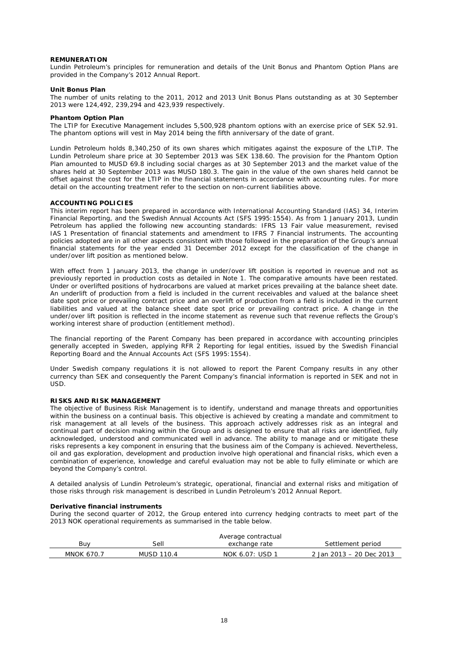#### **REMUNERATION**

Lundin Petroleum's principles for remuneration and details of the Unit Bonus and Phantom Option Plans are provided in the Company's 2012 Annual Report.

#### **Unit Bonus Plan**

The number of units relating to the 2011, 2012 and 2013 Unit Bonus Plans outstanding as at 30 September 2013 were 124,492, 239,294 and 423,939 respectively.

#### **Phantom Option Plan**

The LTIP for Executive Management includes 5,500,928 phantom options with an exercise price of SEK 52.91. The phantom options will vest in May 2014 being the fifth anniversary of the date of grant.

Lundin Petroleum holds 8,340,250 of its own shares which mitigates against the exposure of the LTIP. The Lundin Petroleum share price at 30 September 2013 was SEK 138.60. The provision for the Phantom Option Plan amounted to MUSD 69.8 including social charges as at 30 September 2013 and the market value of the shares held at 30 September 2013 was MUSD 180.3. The gain in the value of the own shares held cannot be offset against the cost for the LTIP in the financial statements in accordance with accounting rules. For more detail on the accounting treatment refer to the section on non-current liabilities above.

#### **ACCOUNTING POLICIES**

This interim report has been prepared in accordance with International Accounting Standard (IAS) 34, Interim Financial Reporting, and the Swedish Annual Accounts Act (SFS 1995:1554). As from 1 January 2013, Lundin Petroleum has applied the following new accounting standards: IFRS 13 Fair value measurement, revised IAS 1 Presentation of financial statements and amendment to IFRS 7 Financial instruments. The accounting policies adopted are in all other aspects consistent with those followed in the preparation of the Group's annual financial statements for the year ended 31 December 2012 except for the classification of the change in under/over lift position as mentioned below.

With effect from 1 January 2013, the change in under/over lift position is reported in revenue and not as previously reported in production costs as detailed in Note 1. The comparative amounts have been restated. Under or overlifted positions of hydrocarbons are valued at market prices prevailing at the balance sheet date. An underlift of production from a field is included in the current receivables and valued at the balance sheet date spot price or prevailing contract price and an overlift of production from a field is included in the current liabilities and valued at the balance sheet date spot price or prevailing contract price. A change in the under/over lift position is reflected in the income statement as revenue such that revenue reflects the Group's working interest share of production (entitlement method).

The financial reporting of the Parent Company has been prepared in accordance with accounting principles generally accepted in Sweden, applying RFR 2 Reporting for legal entities, issued by the Swedish Financial Reporting Board and the Annual Accounts Act (SFS 1995:1554).

Under Swedish company regulations it is not allowed to report the Parent Company results in any other currency than SEK and consequently the Parent Company's financial information is reported in SEK and not in USD.

#### **RISKS AND RISK MANAGEMENT**

The objective of Business Risk Management is to identify, understand and manage threats and opportunities within the business on a continual basis. This objective is achieved by creating a mandate and commitment to risk management at all levels of the business. This approach actively addresses risk as an integral and continual part of decision making within the Group and is designed to ensure that all risks are identified, fully acknowledged, understood and communicated well in advance. The ability to manage and or mitigate these risks represents a key component in ensuring that the business aim of the Company is achieved. Nevertheless, oil and gas exploration, development and production involve high operational and financial risks, which even a combination of experience, knowledge and careful evaluation may not be able to fully eliminate or which are beyond the Company's control.

A detailed analysis of Lundin Petroleum's strategic, operational, financial and external risks and mitigation of those risks through risk management is described in Lundin Petroleum's 2012 Annual Report.

#### **Derivative financial instruments**

During the second quarter of 2012, the Group entered into currency hedging contracts to meet part of the 2013 NOK operational requirements as summarised in the table below.

|                   |            | Average contractual |                          |
|-------------------|------------|---------------------|--------------------------|
| Buv               | Sell       | exchange rate       | Settlement period        |
| <b>MNOK 670.7</b> | MUSD 110.4 | NOK 6.07: USD 1     | 2 Jan 2013 - 20 Dec 2013 |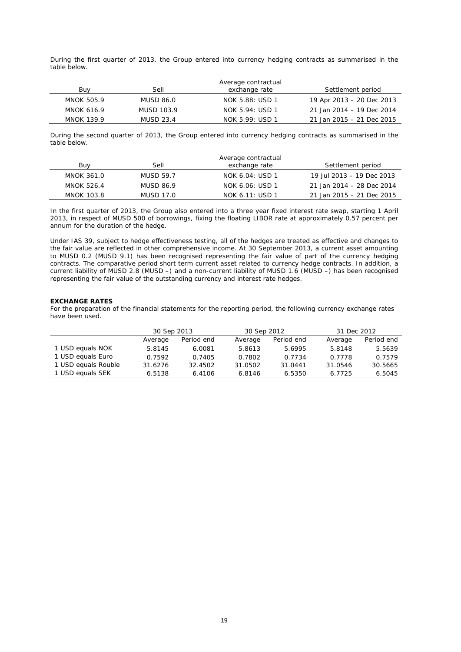During the first quarter of 2013, the Group entered into currency hedging contracts as summarised in the table below.

|                   |            | Average contractual |                           |
|-------------------|------------|---------------------|---------------------------|
| Buv               | Sell       | exchange rate       | Settlement period         |
| MNOK 505.9        | MUSD 86.0  | NOK 5.88: USD 1     | 19 Apr 2013 - 20 Dec 2013 |
| MNOK 616.9        | MUSD 103.9 | NOK 5.94: USD 1     | 21 Jan 2014 - 19 Dec 2014 |
| <b>MNOK 139.9</b> | MUSD 23.4  | NOK 5.99: USD 1     | 21 Jan 2015 - 21 Dec 2015 |

During the second quarter of 2013, the Group entered into currency hedging contracts as summarised in the table below.

|                   |           | Average contractual |                           |
|-------------------|-----------|---------------------|---------------------------|
| Buv               | Sell      | exchange rate       | Settlement period         |
| MNOK 361.0        | MUSD 59.7 | NOK 6.04: USD 1     | 19 Jul 2013 - 19 Dec 2013 |
| MNOK 526.4        | MUSD 86.9 | NOK 6.06: USD 1     | 21 Jan 2014 - 28 Dec 2014 |
| <b>MNOK 103.8</b> | MUSD 17.0 | NOK 6.11: USD 1     | 21 Jan 2015 - 21 Dec 2015 |

In the first quarter of 2013, the Group also entered into a three year fixed interest rate swap, starting 1 April 2013, in respect of MUSD 500 of borrowings, fixing the floating LIBOR rate at approximately 0.57 percent per annum for the duration of the hedge.

Under IAS 39, subject to hedge effectiveness testing, all of the hedges are treated as effective and changes to the fair value are reflected in other comprehensive income. At 30 September 2013, a current asset amounting to MUSD 0.2 (MUSD 9.1) has been recognised representing the fair value of part of the currency hedging contracts. The comparative period short term current asset related to currency hedge contracts. In addition, a current liability of MUSD 2.8 (MUSD –) and a non-current liability of MUSD 1.6 (MUSD –) has been recognised representing the fair value of the outstanding currency and interest rate hedges.

### **EXCHANGE RATES**

For the preparation of the financial statements for the reporting period, the following currency exchange rates have been used.

|                     | 30 Sep 2013 |            |         | 30 Sep 2012 |         | 31 Dec 2012 |  |
|---------------------|-------------|------------|---------|-------------|---------|-------------|--|
|                     | Average     | Period end | Average | Period end  | Average | Period end  |  |
| 1 USD equals NOK    | 5.8145      | 6.0081     | 5.8613  | 5.6995      | 5.8148  | 5.5639      |  |
| 1 USD equals Euro   | 0.7592      | 0.7405     | 0.7802  | 0.7734      | 0.7778  | 0.7579      |  |
| 1 USD equals Rouble | 31.6276     | 32.4502    | 31.0502 | 31.0441     | 31.0546 | 30.5665     |  |
| 1 USD equals SEK    | 6.5138      | 6.4106     | 6.8146  | 6.5350      | 6.7725  | 6.5045      |  |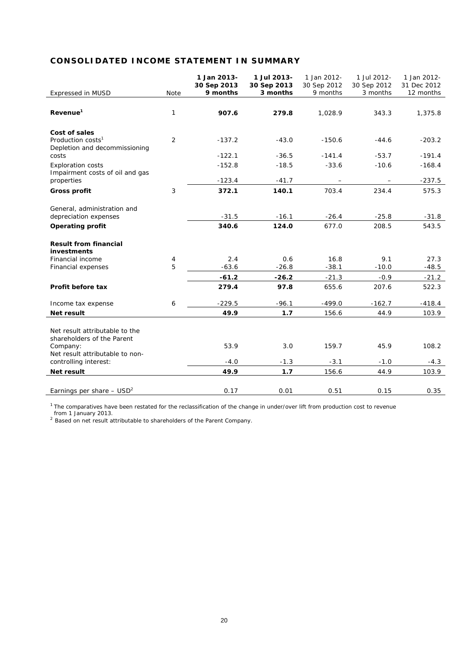## **CONSOLIDATED INCOME STATEMENT IN SUMMARY**

|                                                                                 |             | 1 Jan 2013-<br>30 Sep 2013<br>9 months | 1 Jul 2013-<br>30 Sep 2013<br>3 months | 1 Jan 2012-<br>30 Sep 2012<br>9 months | 1 Jul 2012-<br>30 Sep 2012<br>3 months | 1 Jan 2012-<br>31 Dec 2012<br>12 months |
|---------------------------------------------------------------------------------|-------------|----------------------------------------|----------------------------------------|----------------------------------------|----------------------------------------|-----------------------------------------|
| <b>Expressed in MUSD</b>                                                        | <b>Note</b> |                                        |                                        |                                        |                                        |                                         |
| Revenue <sup>1</sup>                                                            | 1           | 907.6                                  | 279.8                                  | 1,028.9                                | 343.3                                  | 1,375.8                                 |
| Cost of sales<br>Production costs <sup>1</sup><br>Depletion and decommissioning | 2           | $-137.2$                               | $-43.0$                                | $-150.6$                               | $-44.6$                                | $-203.2$                                |
| costs                                                                           |             | $-122.1$                               | $-36.5$                                | $-141.4$                               | $-53.7$                                | $-191.4$                                |
| <b>Exploration costs</b><br>Impairment costs of oil and gas                     |             | $-152.8$                               | $-18.5$                                | $-33.6$                                | $-10.6$                                | $-168.4$                                |
| properties                                                                      |             | $-123.4$                               | $-41.7$                                |                                        |                                        | $-237.5$                                |
| <b>Gross profit</b>                                                             | 3           | 372.1                                  | 140.1                                  | 703.4                                  | 234.4                                  | 575.3                                   |
| General, administration and<br>depreciation expenses                            |             | $-31.5$                                | $-16.1$                                | $-26.4$                                | $-25.8$                                | $-31.8$                                 |
| <b>Operating profit</b>                                                         |             | 340.6                                  | 124.0                                  | 677.0                                  | 208.5                                  | 543.5                                   |
| <b>Result from financial</b><br>investments                                     |             |                                        |                                        |                                        |                                        |                                         |
| Financial income                                                                | 4           | 2.4                                    | 0.6                                    | 16.8                                   | 9.1                                    | 27.3                                    |
| Financial expenses                                                              | 5           | $-63.6$                                | $-26.8$                                | $-38.1$                                | $-10.0$                                | $-48.5$                                 |
|                                                                                 |             | $-61.2$                                | $-26.2$                                | $-21.3$                                | $-0.9$                                 | $-21.2$                                 |
| Profit before tax                                                               |             | 279.4                                  | 97.8                                   | 655.6                                  | 207.6                                  | 522.3                                   |
| Income tax expense                                                              | 6           | $-229.5$                               | $-96.1$                                | $-499.0$                               | $-162.7$                               | $-418.4$                                |
| Net result                                                                      |             | 49.9                                   | 1.7                                    | 156.6                                  | 44.9                                   | 103.9                                   |
| Net result attributable to the<br>shareholders of the Parent                    |             |                                        |                                        |                                        |                                        |                                         |
| Company:<br>Net result attributable to non-                                     |             | 53.9                                   | 3.0                                    | 159.7                                  | 45.9                                   | 108.2                                   |
| controlling interest:                                                           |             | $-4.0$                                 | $-1.3$                                 | $-3.1$                                 | $-1.0$                                 | $-4.3$                                  |
| <b>Net result</b>                                                               |             | 49.9                                   | 1.7                                    | 156.6                                  | 44.9                                   | 103.9                                   |
| Earnings per share $-$ USD <sup>2</sup>                                         |             | 0.17                                   | 0.01                                   | 0.51                                   | 0.15                                   | 0.35                                    |

 $1$  The comparatives have been restated for the reclassification of the change in under/over lift from production cost to revenue

from 1 January 2013. <sup>2</sup> Based on net result attributable to shareholders of the Parent Company.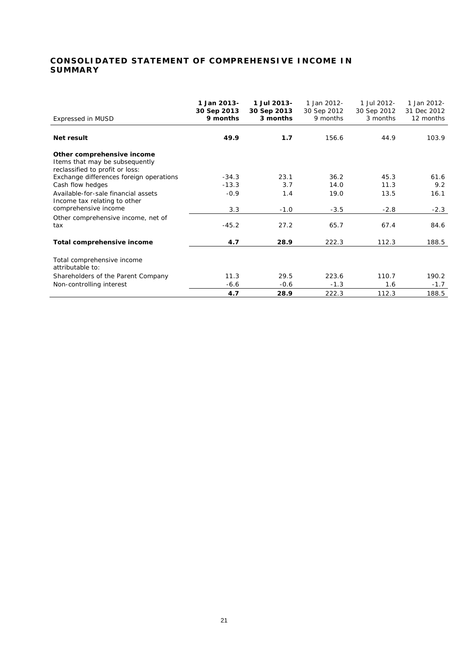## **CONSOLIDATED STATEMENT OF COMPREHENSIVE INCOME IN SUMMARY**

| Expressed in MUSD                                                                               | 1 Jan 2013-<br>30 Sep 2013<br>9 months | 1 Jul 2013-<br>30 Sep 2013<br>3 months | 1 Jan 2012-<br>30 Sep 2012<br>9 months | 1 Jul 2012-<br>30 Sep 2012<br>3 months | 1 Jan 2012-<br>31 Dec 2012<br>12 months |
|-------------------------------------------------------------------------------------------------|----------------------------------------|----------------------------------------|----------------------------------------|----------------------------------------|-----------------------------------------|
| Net result                                                                                      | 49.9                                   | 1.7                                    | 156.6                                  | 44.9                                   | 103.9                                   |
| Other comprehensive income<br>Items that may be subsequently<br>reclassified to profit or loss: |                                        |                                        |                                        |                                        |                                         |
| Exchange differences foreign operations                                                         | $-34.3$                                | 23.1                                   | 36.2                                   | 45.3                                   | 61.6                                    |
| Cash flow hedges                                                                                | $-13.3$                                | 3.7                                    | 14.0                                   | 11.3                                   | 9.2                                     |
| Available-for-sale financial assets<br>Income tax relating to other                             | $-0.9$                                 | 1.4                                    | 19.0                                   | 13.5                                   | 16.1                                    |
| comprehensive income                                                                            | 3.3                                    | $-1.0$                                 | $-3.5$                                 | $-2.8$                                 | $-2.3$                                  |
| Other comprehensive income, net of<br>tax                                                       | $-45.2$                                | 27.2                                   | 65.7                                   | 67.4                                   | 84.6                                    |
| Total comprehensive income                                                                      | 4.7                                    | 28.9                                   | 222.3                                  | 112.3                                  | 188.5                                   |
| Total comprehensive income<br>attributable to:                                                  |                                        |                                        |                                        |                                        |                                         |
| Shareholders of the Parent Company                                                              | 11.3                                   | 29.5                                   | 223.6                                  | 110.7                                  | 190.2                                   |
| Non-controlling interest                                                                        | $-6.6$                                 | $-0.6$                                 | $-1.3$                                 | 1.6                                    | $-1.7$                                  |
|                                                                                                 | 4.7                                    | 28.9                                   | 222.3                                  | 112.3                                  | 188.5                                   |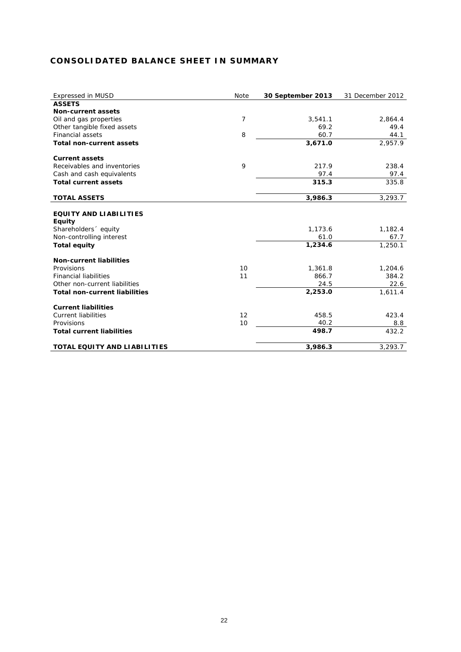## **CONSOLIDATED BALANCE SHEET IN SUMMARY**

| <b>Expressed in MUSD</b>             | Note | 30 September 2013 | 31 December 2012 |
|--------------------------------------|------|-------------------|------------------|
| <b>ASSETS</b>                        |      |                   |                  |
| <b>Non-current assets</b>            |      |                   |                  |
| Oil and gas properties               | 7    | 3,541.1           | 2,864.4          |
| Other tangible fixed assets          |      | 69.2              | 49.4             |
| <b>Financial assets</b>              | 8    | 60.7              | 44.1             |
| <b>Total non-current assets</b>      |      | 3,671.0           | 2,957.9          |
| <b>Current assets</b>                |      |                   |                  |
| Receivables and inventories          | 9    | 217.9             | 238.4            |
| Cash and cash equivalents            |      | 97.4              | 97.4             |
| <b>Total current assets</b>          |      | 315.3             | 335.8            |
| <b>TOTAL ASSETS</b>                  |      | 3,986.3           | 3,293.7          |
|                                      |      |                   |                  |
| <b>EQUITY AND LIABILITIES</b>        |      |                   |                  |
| <b>Equity</b>                        |      |                   |                  |
| Shareholders <sup>o</sup> equity     |      | 1,173.6           | 1,182.4          |
| Non-controlling interest             |      | 61.0              | 67.7             |
| <b>Total equity</b>                  |      | 1,234.6           | 1,250.1          |
| <b>Non-current liabilities</b>       |      |                   |                  |
| Provisions                           | 10   | 1,361.8           | 1,204.6          |
| <b>Financial liabilities</b>         | 11   | 866.7             | 384.2            |
| Other non-current liabilities        |      | 24.5              | 22.6             |
| <b>Total non-current liabilities</b> |      | 2,253.0           | 1,611.4          |
| <b>Current liabilities</b>           |      |                   |                  |
| <b>Current liabilities</b>           | 12   | 458.5             | 423.4            |
| Provisions                           | 10   | 40.2              | 8.8              |
| <b>Total current liabilities</b>     |      | 498.7             | 432.2            |
| <b>TOTAL EQUITY AND LIABILITIES</b>  |      | 3,986.3           | 3,293.7          |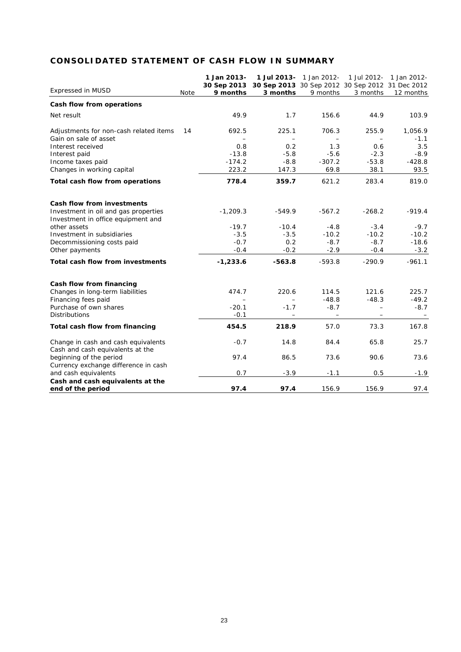## **CONSOLIDATED STATEMENT OF CASH FLOW IN SUMMARY**

|                                                                            |      | 1 Jan 2013- |                                                 | 1 Jul 2013- 1 Jan 2012- | 1 Jul 2012- | 1 Jan 2012-   |
|----------------------------------------------------------------------------|------|-------------|-------------------------------------------------|-------------------------|-------------|---------------|
|                                                                            |      | 30 Sep 2013 | 30 Sep 2013 30 Sep 2012 30 Sep 2012 31 Dec 2012 |                         |             |               |
| <b>Expressed in MUSD</b>                                                   | Note | 9 months    | 3 months                                        | 9 months                | 3 months    | 12 months     |
| Cash flow from operations                                                  |      |             |                                                 |                         |             |               |
| Net result                                                                 |      | 49.9        | 1.7                                             | 156.6                   | 44.9        | 103.9         |
| Adjustments for non-cash related items                                     | 14   | 692.5       | 225.1                                           | 706.3                   | 255.9       | 1,056.9       |
| Gain on sale of asset<br>Interest received                                 |      | 0.8         | 0.2                                             | 1.3                     | 0.6         | $-1.1$<br>3.5 |
| Interest paid                                                              |      | $-13.8$     | $-5.8$                                          | $-5.6$                  | $-2.3$      | $-8.9$        |
| Income taxes paid                                                          |      | $-174.2$    | $-8.8$                                          | $-307.2$                | $-53.8$     | $-428.8$      |
| Changes in working capital                                                 |      | 223.2       | 147.3                                           | 69.8                    | 38.1        | 93.5          |
| Total cash flow from operations                                            |      | 778.4       | 359.7                                           | 621.2                   | 283.4       | 819.0         |
| Cash flow from investments                                                 |      |             |                                                 |                         |             |               |
| Investment in oil and gas properties<br>Investment in office equipment and |      | $-1,209.3$  | $-549.9$                                        | $-567.2$                | $-268.2$    | $-919.4$      |
| other assets                                                               |      | $-19.7$     | $-10.4$                                         | $-4.8$                  | $-3.4$      | $-9.7$        |
| Investment in subsidiaries                                                 |      | $-3.5$      | $-3.5$                                          | $-10.2$                 | $-10.2$     | $-10.2$       |
| Decommissioning costs paid                                                 |      | $-0.7$      | 0.2                                             | $-8.7$                  | $-8.7$      | $-18.6$       |
| Other payments                                                             |      | $-0.4$      | $-0.2$                                          | $-2.9$                  | $-0.4$      | $-3.2$        |
| Total cash flow from investments                                           |      | $-1,233.6$  | $-563.8$                                        | $-593.8$                | $-290.9$    | $-961.1$      |
| Cash flow from financing                                                   |      |             |                                                 |                         |             |               |
| Changes in long-term liabilities                                           |      | 474.7       | 220.6                                           | 114.5                   | 121.6       | 225.7         |
| Financing fees paid                                                        |      |             |                                                 | $-48.8$                 | $-48.3$     | $-49.2$       |
| Purchase of own shares                                                     |      | $-20.1$     | $-1.7$                                          | $-8.7$                  | $\equiv$    | $-8.7$        |
| <b>Distributions</b>                                                       |      | $-0.1$      | $\qquad \qquad -$                               |                         |             |               |
| Total cash flow from financing                                             |      | 454.5       | 218.9                                           | 57.0                    | 73.3        | 167.8         |
| Change in cash and cash equivalents<br>Cash and cash equivalents at the    |      | $-0.7$      | 14.8                                            | 84.4                    | 65.8        | 25.7          |
| beginning of the period<br>Currency exchange difference in cash            |      | 97.4        | 86.5                                            | 73.6                    | 90.6        | 73.6          |
| and cash equivalents                                                       |      | 0.7         | $-3.9$                                          | $-1.1$                  | 0.5         | $-1.9$        |
| Cash and cash equivalents at the                                           |      |             |                                                 |                         |             |               |
| end of the period                                                          |      | 97.4        | 97.4                                            | 156.9                   | 156.9       | 97.4          |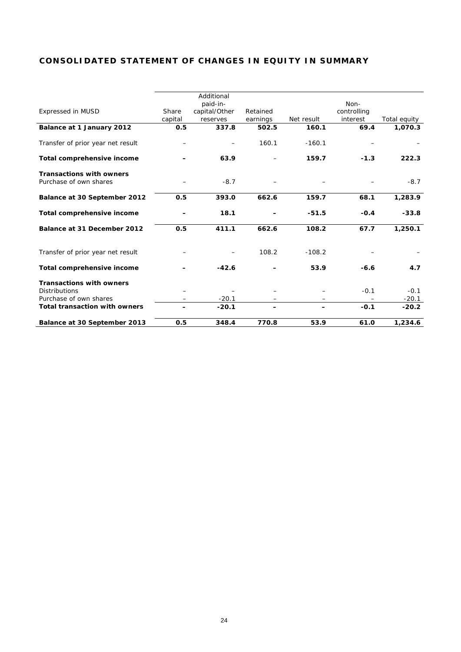## **CONSOLIDATED STATEMENT OF CHANGES IN EQUITY IN SUMMARY**

|                                      |         | Additional    |          |            |             |              |
|--------------------------------------|---------|---------------|----------|------------|-------------|--------------|
|                                      |         | paid-in-      |          |            | Non-        |              |
| <b>Expressed in MUSD</b>             | Share   | capital/Other | Retained |            | controlling |              |
|                                      | capital | reserves      | earnings | Net result | interest    | Total equity |
| Balance at 1 January 2012            | 0.5     | 337.8         | 502.5    | 160.1      | 69.4        | 1,070.3      |
| Transfer of prior year net result    |         |               | 160.1    | $-160.1$   |             |              |
| Total comprehensive income           |         | 63.9          |          | 159.7      | $-1.3$      | 222.3        |
| <b>Transactions with owners</b>      |         |               |          |            |             |              |
| Purchase of own shares               |         | $-8.7$        |          |            |             | $-8.7$       |
| Balance at 30 September 2012         | 0.5     | 393.0         | 662.6    | 159.7      | 68.1        | 1,283.9      |
| Total comprehensive income           |         | 18.1          |          | $-51.5$    | $-0.4$      | $-33.8$      |
| Balance at 31 December 2012          | 0.5     | 411.1         | 662.6    | 108.2      | 67.7        | 1,250.1      |
| Transfer of prior year net result    |         |               | 108.2    | $-108.2$   |             |              |
| Total comprehensive income           |         | $-42.6$       |          | 53.9       | $-6.6$      | 4.7          |
| <b>Transactions with owners</b>      |         |               |          |            |             |              |
| <b>Distributions</b>                 |         |               |          |            | $-0.1$      | $-0.1$       |
| Purchase of own shares               |         | $-20.1$       | —        |            |             | $-20.1$      |
| <b>Total transaction with owners</b> |         | $-20.1$       |          |            | $-0.1$      | $-20.2$      |
| Balance at 30 September 2013         | 0.5     | 348.4         | 770.8    | 53.9       | 61.0        | 1,234.6      |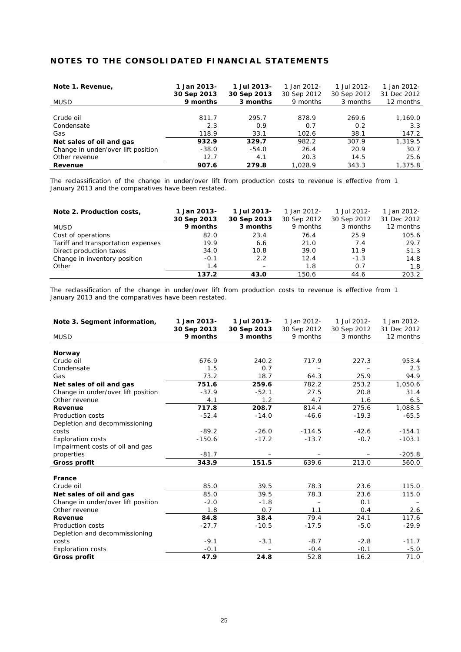## **NOTES TO THE CONSOLIDATED FINANCIAL STATEMENTS**

| Note 1. Revenue,                   | 1 Jan 2013- | 1 Jul 2013- | 1 Jan 2012- | 1 Jul 2012- | 1 Jan 2012- |
|------------------------------------|-------------|-------------|-------------|-------------|-------------|
|                                    | 30 Sep 2013 | 30 Sep 2013 | 30 Sep 2012 | 30 Sep 2012 | 31 Dec 2012 |
| <b>MUSD</b>                        | 9 months    | 3 months    | 9 months    | 3 months    | 12 months   |
|                                    |             |             |             |             |             |
| Crude oil                          | 811.7       | 295.7       | 878.9       | 269.6       | 1,169.0     |
| Condensate                         | 2.3         | 0.9         | 0.7         | 0.2         | 3.3         |
| Gas                                | 118.9       | 33.1        | 102.6       | 38.1        | 147.2       |
| Net sales of oil and gas           | 932.9       | 329.7       | 982.2       | 307.9       | 1,319.5     |
| Change in under/over lift position | $-38.0$     | $-54.0$     | 26.4        | 20.9        | 30.7        |
| Other revenue                      | 12.7        | 4.1         | 20.3        | 14.5        | 25.6        |
| Revenue                            | 907.6       | 279.8       | 1.028.9     | 343.3       | 1,375.8     |

The reclassification of the change in under/over lift from production costs to revenue is effective from 1 January 2013 and the comparatives have been restated.

| Note 2. Production costs,          | 1 Jan 2013- | 1 Jul 2013- | 1 Jan 2012- | 1 Jul 2012- | 1 Jan 2012- |
|------------------------------------|-------------|-------------|-------------|-------------|-------------|
|                                    | 30 Sep 2013 | 30 Sep 2013 | 30 Sep 2012 | 30 Sep 2012 | 31 Dec 2012 |
| <b>MUSD</b>                        | 9 months    | 3 months    | 9 months    | 3 months    | 12 months   |
| Cost of operations                 | 82.0        | 23.4        | 76.4        | 25.9        | 105.6       |
| Tariff and transportation expenses | 19.9        | 6.6         | 21.0        | 7.4         | 29.7        |
| Direct production taxes            | 34.0        | 10.8        | 39.0        | 11.9        | 51.3        |
| Change in inventory position       | $-0.1$      | 2.2         | 12.4        | $-1.3$      | 14.8        |
| Other                              | 1.4         |             | 1.8         | 0.7         | 1.8         |
|                                    | 137.2       | 43.0        | 150.6       | 44.6        | 203.2       |

The reclassification of the change in under/over lift from production costs to revenue is effective from 1 January 2013 and the comparatives have been restated.

| Note 3. Segment information,       | 1 Jan 2013- | 1 Jul 2013- | 1 Jan 2012- | 1 Jul 2012- | 1 Jan 2012- |
|------------------------------------|-------------|-------------|-------------|-------------|-------------|
|                                    | 30 Sep 2013 | 30 Sep 2013 | 30 Sep 2012 | 30 Sep 2012 | 31 Dec 2012 |
| <b>MUSD</b>                        | 9 months    | 3 months    | 9 months    | 3 months    | 12 months   |
|                                    |             |             |             |             |             |
| Norway                             |             |             |             |             |             |
| Crude oil                          | 676.9       | 240.2       | 717.9       | 227.3       | 953.4       |
| Condensate                         | 1.5         | 0.7         |             |             | 2.3         |
| Gas                                | 73.2        | 18.7        | 64.3        | 25.9        | 94.9        |
| Net sales of oil and gas           | 751.6       | 259.6       | 782.2       | 253.2       | 1,050.6     |
| Change in under/over lift position | $-37.9$     | $-52.1$     | 27.5        | 20.8        | 31.4        |
| Other revenue                      | 4.1         | 1.2         | 4.7         | 1.6         | 6.5         |
| Revenue                            | 717.8       | 208.7       | 814.4       | 275.6       | 1,088.5     |
| <b>Production costs</b>            | $-52.4$     | $-14.0$     | $-46.6$     | $-19.3$     | $-65.5$     |
| Depletion and decommissioning      |             |             |             |             |             |
| costs                              | $-89.2$     | $-26.0$     | $-114.5$    | $-42.6$     | $-154.1$    |
| <b>Exploration costs</b>           | $-150.6$    | $-17.2$     | $-13.7$     | $-0.7$      | $-103.1$    |
| Impairment costs of oil and gas    |             |             |             |             |             |
| properties                         | $-81.7$     |             |             |             | $-205.8$    |
| Gross profit                       | 343.9       | 151.5       | 639.6       | 213.0       | 560.0       |
|                                    |             |             |             |             |             |
| France                             |             |             |             |             |             |
| Crude oil                          | 85.0        | 39.5        | 78.3        | 23.6        | 115.0       |
| Net sales of oil and gas           | 85.0        | 39.5        | 78.3        | 23.6        | 115.0       |
| Change in under/over lift position | $-2.0$      | $-1.8$      |             | 0.1         |             |
| Other revenue                      | 1.8         | 0.7         | 1.1         | 0.4         | 2.6         |
| Revenue                            | 84.8        | 38.4        | 79.4        | 24.1        | 117.6       |
| Production costs                   | $-27.7$     | $-10.5$     | $-17.5$     | $-5.0$      | $-29.9$     |
| Depletion and decommissioning      |             |             |             |             |             |
| costs                              | $-9.1$      | $-3.1$      | $-8.7$      | $-2.8$      | $-11.7$     |
| <b>Exploration costs</b>           | $-0.1$      |             | $-0.4$      | $-0.1$      | $-5.0$      |
| Gross profit                       | 47.9        | 24.8        | 52.8        | 16.2        | 71.0        |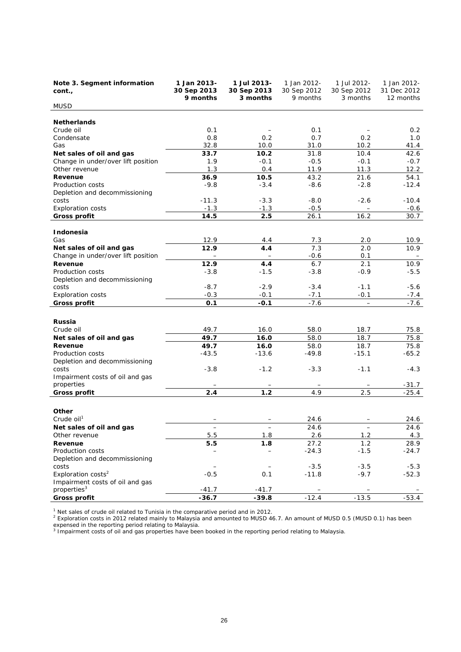| Note 3. Segment information<br>cont.,     | 1 Jan 2013-<br>30 Sep 2013<br>9 months | 1 Jul 2013-<br>30 Sep 2013<br>3 months | 1 Jan 2012-<br>30 Sep 2012<br>9 months | 1 Jul 2012-<br>30 Sep 2012<br>3 months | 1 Jan 2012-<br>31 Dec 2012<br>12 months |
|-------------------------------------------|----------------------------------------|----------------------------------------|----------------------------------------|----------------------------------------|-----------------------------------------|
| <b>MUSD</b>                               |                                        |                                        |                                        |                                        |                                         |
|                                           |                                        |                                        |                                        |                                        |                                         |
| <b>Netherlands</b>                        |                                        |                                        |                                        |                                        |                                         |
| Crude oil<br>Condensate                   | 0.1<br>0.8                             | 0.2                                    | 0.1<br>0.7                             | 0.2                                    | 0.2<br>1.0                              |
| Gas                                       | 32.8                                   | 10.0                                   | 31.0                                   | 10.2                                   | 41.4                                    |
| Net sales of oil and gas                  | 33.7                                   | 10.2                                   | 31.8                                   | 10.4                                   | 42.6                                    |
| Change in under/over lift position        | 1.9                                    | $-0.1$                                 | $-0.5$                                 | $-0.1$                                 | $-0.7$                                  |
| Other revenue                             | 1.3                                    | 0.4                                    | 11.9                                   | 11.3                                   | 12.2                                    |
| Revenue                                   | 36.9                                   | 10.5                                   | 43.2                                   | 21.6                                   | 54.1                                    |
| Production costs                          | $-9.8$                                 | $-3.4$                                 | $-8.6$                                 | $-2.8$                                 | $-12.4$                                 |
| Depletion and decommissioning             |                                        |                                        |                                        |                                        |                                         |
| costs                                     | $-11.3$                                | $-3.3$                                 | $-8.0$                                 | $-2.6$                                 | $-10.4$                                 |
| <b>Exploration costs</b>                  | $-1.3$                                 | $-1.3$                                 | $-0.5$                                 |                                        | $-0.6$                                  |
| <b>Gross profit</b>                       | 14.5                                   | 2.5                                    | 26.1                                   | 16.2                                   | 30.7                                    |
| Indonesia                                 |                                        |                                        |                                        |                                        |                                         |
| Gas                                       | 12.9                                   | 4.4                                    | 7.3                                    | 2.0                                    | 10.9                                    |
| Net sales of oil and gas                  | 12.9                                   | 4.4                                    | 7.3                                    | 2.0                                    | 10.9                                    |
| Change in under/over lift position        |                                        |                                        | $-0.6$                                 | 0.1                                    |                                         |
| Revenue                                   | 12.9                                   | 4.4                                    | 6.7                                    | 2.1                                    | 10.9                                    |
| Production costs                          | $-3.8$                                 | $-1.5$                                 | $-3.8$                                 | $-0.9$                                 | $-5.5$                                  |
| Depletion and decommissioning             |                                        |                                        |                                        |                                        |                                         |
| costs                                     | $-8.7$                                 | $-2.9$                                 | $-3.4$                                 | $-1.1$                                 | $-5.6$                                  |
| <b>Exploration costs</b>                  | $-0.3$<br>0.1                          | $-0.1$<br>$-0.1$                       | $-7.1$<br>$-7.6$                       | $-0.1$                                 | $-7.4$                                  |
| <b>Gross profit</b>                       |                                        |                                        |                                        | $\overline{\phantom{m}}$               | $-7.6$                                  |
|                                           |                                        |                                        |                                        |                                        |                                         |
| Russia<br>Crude oil                       | 49.7                                   | 16.0                                   | 58.0                                   | 18.7                                   | 75.8                                    |
| Net sales of oil and gas                  | 49.7                                   | 16.0                                   | 58.0                                   | 18.7                                   | 75.8                                    |
| Revenue                                   | 49.7                                   | 16.0                                   | 58.0                                   | 18.7                                   | 75.8                                    |
| Production costs                          | $-43.5$                                | $-13.6$                                | $-49.8$                                | $-15.1$                                | $-65.2$                                 |
| Depletion and decommissioning             |                                        |                                        |                                        |                                        |                                         |
| costs                                     | $-3.8$                                 | $-1.2$                                 | $-3.3$                                 | $-1.1$                                 | $-4.3$                                  |
| Impairment costs of oil and gas           |                                        |                                        |                                        |                                        |                                         |
| properties                                |                                        |                                        |                                        |                                        | $-31.7$                                 |
| <b>Gross profit</b>                       | 2.4                                    | $1.2$                                  | 4.9                                    | 2.5                                    | $-25.4$                                 |
|                                           |                                        |                                        |                                        |                                        |                                         |
| Other                                     |                                        |                                        |                                        |                                        |                                         |
| Crude oil <sup>1</sup>                    |                                        |                                        | 24.6                                   |                                        | 24.6                                    |
| Net sales of oil and gas<br>Other revenue | $\overline{\phantom{m}}$<br>5.5        | 1.8                                    | 24.6<br>2.6                            | 1.2                                    | 24.6<br>4.3                             |
| Revenue                                   | 5.5                                    | 1.8                                    | 27.2                                   | 1.2                                    | 28.9                                    |
| Production costs                          |                                        |                                        | $-24.3$                                | $-1.5$                                 | $-24.7$                                 |
| Depletion and decommissioning             |                                        |                                        |                                        |                                        |                                         |
| costs                                     |                                        |                                        | $-3.5$                                 | $-3.5$                                 | $-5.3$                                  |
| Exploration costs <sup>2</sup>            | $-0.5$                                 | 0.1                                    | $-11.8$                                | $-9.7$                                 | $-52.3$                                 |
| Impairment costs of oil and gas           |                                        |                                        |                                        |                                        |                                         |
| properties <sup>3</sup>                   | $-41.7$                                | $-41.7$                                |                                        |                                        |                                         |
| <b>Gross profit</b>                       | $-36.7$                                | $-39.8$                                | $-12.4$                                | $-13.5$                                | $-53.4$                                 |

<sup>1</sup> Net sales of crude oil related to Tunisia in the comparative period and in 2012.<br><sup>2</sup> Exploration costs in 2012 related mainly to Malaysia and amounted to MUSD 46.7. An amount of MUSD 0.5 (MUSD 0.1) has been expensed in the reporting period relating to Malaysia.<br><sup>3</sup> Impairment costs of oil and gas properties have been booked in the reporting period relating to Malaysia.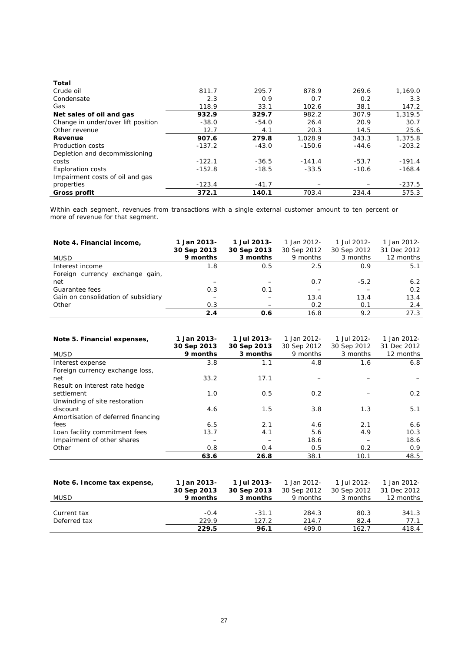| Total                              |          |         |          |         |          |
|------------------------------------|----------|---------|----------|---------|----------|
| Crude oil                          | 811.7    | 295.7   | 878.9    | 269.6   | 1,169.0  |
| Condensate                         | 2.3      | 0.9     | 0.7      | 0.2     | 3.3      |
| Gas                                | 118.9    | 33.1    | 102.6    | 38.1    | 147.2    |
| Net sales of oil and gas           | 932.9    | 329.7   | 982.2    | 307.9   | 1,319.5  |
| Change in under/over lift position | $-38.0$  | $-54.0$ | 26.4     | 20.9    | 30.7     |
| Other revenue                      | 12.7     | 4.1     | 20.3     | 14.5    | 25.6     |
| Revenue                            | 907.6    | 279.8   | 1.028.9  | 343.3   | 1,375.8  |
| Production costs                   | $-137.2$ | $-43.0$ | $-150.6$ | $-44.6$ | $-203.2$ |
| Depletion and decommissioning      |          |         |          |         |          |
| costs                              | $-122.1$ | $-36.5$ | $-141.4$ | $-53.7$ | $-191.4$ |
| <b>Exploration costs</b>           | $-152.8$ | $-18.5$ | $-33.5$  | $-10.6$ | $-168.4$ |
| Impairment costs of oil and gas    |          |         |          |         |          |
| properties                         | $-123.4$ | $-41.7$ |          |         | $-237.5$ |
| Gross profit                       | 372.1    | 140.1   | 703.4    | 234.4   | 575.3    |

Within each segment, revenues from transactions with a single external customer amount to ten percent or more of revenue for that segment.

| Note 4. Financial income,           | 1 Jan 2013-<br>30 Sep 2013 | 1 Jul 2013-<br>30 Sep 2013 | 1 Jan 2012-<br>30 Sep 2012 | 1 Jul 2012-<br>30 Sep 2012 | 1 Jan 2012-<br>31 Dec 2012 |
|-------------------------------------|----------------------------|----------------------------|----------------------------|----------------------------|----------------------------|
| <b>MUSD</b>                         | 9 months                   | 3 months                   | 9 months                   | 3 months                   | 12 months                  |
| Interest income                     | 1.8                        | 0.5                        | 2.5                        | 0.9                        | 5.1                        |
| Foreign currency exchange gain,     |                            |                            |                            |                            |                            |
| net                                 |                            |                            | 0.7                        | $-5.2$                     | 6.2                        |
| Guarantee fees                      | 0.3                        | 0.1                        |                            |                            | 0.2                        |
| Gain on consolidation of subsidiary |                            |                            | 13.4                       | 13.4                       | 13.4                       |
| Other                               | 0.3                        |                            | 0.2                        | 0.1                        | 2.4                        |
|                                     | 2.4                        | 0.6                        | 16.8                       | 9.2                        | 27.3                       |

| Note 5. Financial expenses,        | 1 Jan 2013-<br>30 Sep 2013 | 1 Jul 2013-<br>30 Sep 2013 | 1 Jan 2012-<br>30 Sep 2012 | 1 Jul 2012-<br>30 Sep 2012 | 1 Jan 2012-<br>31 Dec 2012 |
|------------------------------------|----------------------------|----------------------------|----------------------------|----------------------------|----------------------------|
| <b>MUSD</b>                        | 9 months                   | 3 months                   | 9 months                   | 3 months                   | 12 months                  |
| Interest expense                   | 3.8                        | 1.1                        | 4.8                        | 1.6                        | 6.8                        |
| Foreign currency exchange loss,    |                            |                            |                            |                            |                            |
| net                                | 33.2                       | 17.1                       |                            |                            |                            |
| Result on interest rate hedge      |                            |                            |                            |                            |                            |
| settlement                         | 1.0                        | 0.5                        | 0.2                        |                            | 0.2                        |
| Unwinding of site restoration      |                            |                            |                            |                            |                            |
| discount                           | 4.6                        | 1.5                        | 3.8                        | 1.3                        | 5.1                        |
| Amortisation of deferred financing |                            |                            |                            |                            |                            |
| fees                               | 6.5                        | 2.1                        | 4.6                        | 2.1                        | 6.6                        |
| Loan facility commitment fees      | 13.7                       | 4.1                        | 5.6                        | 4.9                        | 10.3                       |
| Impairment of other shares         |                            |                            | 18.6                       |                            | 18.6                       |
| Other                              | 0.8                        | 0.4                        | 0.5                        | 0.2                        | 0.9                        |
|                                    | 63.6                       | 26.8                       | 38.1                       | 10.1                       | 48.5                       |

| Note 6. Income tax expense, | 1 Jan 2013-             | 1 Jul 2013-             | 1 Jan 2012-             | 1 Jul 2012-             | 1 Jan 2012-              |
|-----------------------------|-------------------------|-------------------------|-------------------------|-------------------------|--------------------------|
| <b>MUSD</b>                 | 30 Sep 2013<br>9 months | 30 Sep 2013<br>3 months | 30 Sep 2012<br>9 months | 30 Sep 2012<br>3 months | 31 Dec 2012<br>12 months |
|                             |                         |                         |                         |                         |                          |
| Current tax                 | $-0.4$                  | $-31.1$                 | 284.3                   | 80.3                    | 341.3                    |
| Deferred tax                | 229.9                   | 127.2                   | 214.7                   | 82.4                    | 77.1                     |
|                             | 229.5                   | 96.1                    | 499.0                   | 162.7                   | 418.4                    |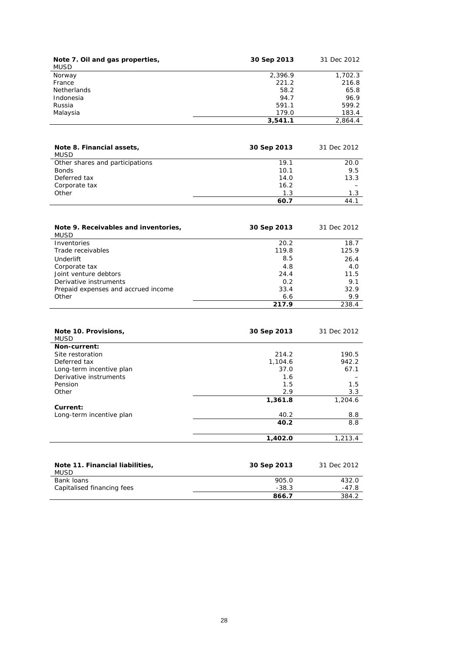| Note 7. Oil and gas properties,<br><b>MUSD</b> | 30 Sep 2013 | 31 Dec 2012 |
|------------------------------------------------|-------------|-------------|
| Norway                                         | 2,396.9     | 1,702.3     |
| France                                         | 221.2       | 216.8       |
| <b>Netherlands</b>                             | 58.2        | 65.8        |
| Indonesia                                      | 94.7        | 96.9        |
| Russia                                         | 591.1       | 599.2       |
| Malaysia                                       | 179.0       | 183.4       |
|                                                | 3,541.1     | 2.864.4     |

| Note 8. Financial assets,<br>MUSD | 30 Sep 2013 | 31 Dec 2012 |
|-----------------------------------|-------------|-------------|
| Other shares and participations   | 19.1        | 20.0        |
| <b>Bonds</b>                      | 10.1        | 9.5         |
| Deferred tax                      | 14.0        | 13.3        |
| Corporate tax                     | 16.2        |             |
| Other                             | 1.3         | 1.3         |
|                                   | 60.7        | 44.7        |

| Note 9. Receivables and inventories.<br>MUSD | 30 Sep 2013 | 31 Dec 2012 |
|----------------------------------------------|-------------|-------------|
| Inventories                                  | 20.2        | 18.7        |
| Trade receivables                            | 119.8       | 125.9       |
| Underlift                                    | 8.5         | 26.4        |
| Corporate tax                                | 4.8         | 4.0         |
| Joint venture debtors                        | 24.4        | 11.5        |
| Derivative instruments                       | 0.2         | 9.1         |
| Prepaid expenses and accrued income          | 33.4        | 32.9        |
| Other                                        | 6.6         | 9.9         |
|                                              | 217.9       | 238.4       |

| Note 10. Provisions,<br><b>MUSD</b> | 30 Sep 2013 | 31 Dec 2012 |
|-------------------------------------|-------------|-------------|
| Non-current:                        |             |             |
| Site restoration                    | 214.2       | 190.5       |
| Deferred tax                        | 1,104.6     | 942.2       |
| Long-term incentive plan            | 37.0        | 67.1        |
| Derivative instruments              | 1.6         |             |
| Pension                             | 1.5         | 1.5         |
| Other                               | 2.9         | 3.3         |
|                                     | 1,361.8     | 1,204.6     |
| Current:                            |             |             |
| Long-term incentive plan            | 40.2        | 8.8         |
|                                     | 40.2        | 8.8         |
|                                     | 1.402.0     | 1,213.4     |

| Note 11. Financial liabilities,<br>MUSD | 30 Sep 2013 | 31 Dec 2012 |
|-----------------------------------------|-------------|-------------|
| Bank loans                              | 905.0       | 432.0       |
| Capitalised financing fees              | $-38.3$     | -47.8       |
|                                         | 866.7       | 384.2       |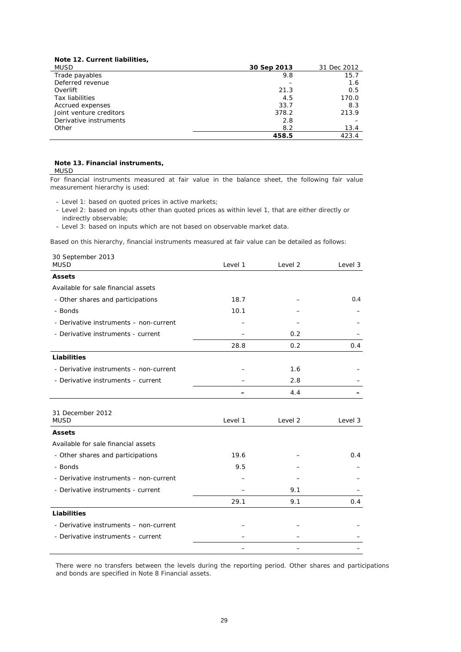|  | Note 12. Current liabilities, |
|--|-------------------------------|
|  |                               |

| <b>MUSD</b>             | 30 Sep 2013 | 31 Dec 2012 |
|-------------------------|-------------|-------------|
| Trade payables          | 9.8         | 15.7        |
| Deferred revenue        |             | 1.6         |
| Overlift                | 21.3        | 0.5         |
| <b>Tax liabilities</b>  | 4.5         | 170.0       |
| Accrued expenses        | 33.7        | 8.3         |
| Joint venture creditors | 378.2       | 213.9       |
| Derivative instruments  | 2.8         |             |
| Other                   | 8.2         | 13.4        |
|                         | 458.5       | 423.4       |

#### **Note 13. Financial instruments,** MUSD

For financial instruments measured at fair value in the balance sheet, the following fair value measurement hierarchy is used:

– Level 1: based on quoted prices in active markets;

– Level 2: based on inputs other than quoted prices as within level 1, that are either directly or indirectly observable;

– Level 3: based on inputs which are not based on observable market data.

Based on this hierarchy, financial instruments measured at fair value can be detailed as follows:

| 30 September 2013<br><b>MUSD</b>       | Level 1 | Level 2 | Level 3 |
|----------------------------------------|---------|---------|---------|
| <b>Assets</b>                          |         |         |         |
| Available for sale financial assets    |         |         |         |
| - Other shares and participations      | 18.7    |         | 0.4     |
| - Bonds                                | 10.1    |         |         |
| - Derivative instruments - non-current |         |         |         |
| - Derivative instruments - current     |         | 0.2     |         |
|                                        | 28.8    | 0.2     | 0.4     |
| <b>Liabilities</b>                     |         |         |         |
| - Derivative instruments - non-current |         | 1.6     |         |
| - Derivative instruments - current     |         | 2.8     |         |
|                                        |         | 4.4     |         |
|                                        |         |         |         |
| 31 December 2012<br><b>MUSD</b>        | Level 1 | Level 2 | Level 3 |
| <b>Assets</b>                          |         |         |         |
| Available for sale financial assets    |         |         |         |
| - Other shares and participations      | 19.6    |         | 0.4     |
| - Bonds                                | 9.5     |         |         |
| - Derivative instruments - non-current |         |         |         |
| - Derivative instruments - current     |         | 9.1     |         |
|                                        | 29.1    | 9.1     | 0.4     |
| <b>Liabilities</b>                     |         |         |         |
| - Derivative instruments - non-current |         |         |         |
| - Derivative instruments – current     |         |         |         |
|                                        |         |         |         |

There were no transfers between the levels during the reporting period. Other shares and participations and bonds are specified in Note 8 Financial assets.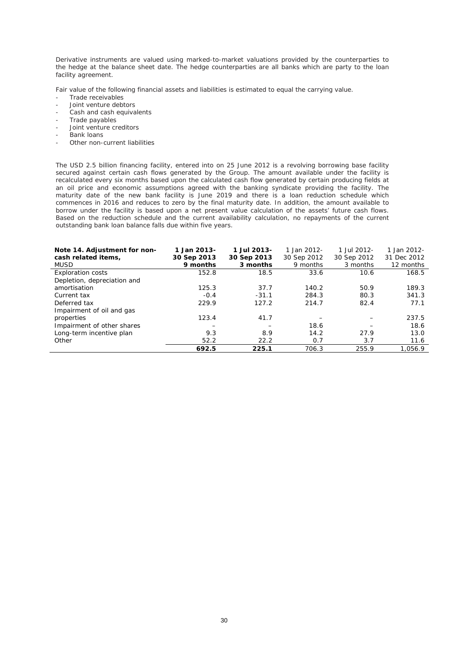Derivative instruments are valued using marked-to-market valuations provided by the counterparties to the hedge at the balance sheet date. The hedge counterparties are all banks which are party to the loan facility agreement.

Fair value of the following financial assets and liabilities is estimated to equal the carrying value.

- Trade receivables
- Joint venture debtors
- Cash and cash equivalents
- Trade payables
- Joint venture creditors
- Bank loans
- Other non-current liabilities

The USD 2.5 billion financing facility, entered into on 25 June 2012 is a revolving borrowing base facility secured against certain cash flows generated by the Group. The amount available under the facility is recalculated every six months based upon the calculated cash flow generated by certain producing fields at an oil price and economic assumptions agreed with the banking syndicate providing the facility. The maturity date of the new bank facility is June 2019 and there is a loan reduction schedule which commences in 2016 and reduces to zero by the final maturity date. In addition, the amount available to borrow under the facility is based upon a net present value calculation of the assets' future cash flows. Based on the reduction schedule and the current availability calculation, no repayments of the current outstanding bank loan balance falls due within five years.

| Note 14. Adjustment for non-<br>cash related items,<br><b>MUSD</b> | 1 Jan 2013-<br>30 Sep 2013<br>9 months | 1 Jul 2013-<br>30 Sep 2013<br>3 months | 1 Jan 2012-<br>30 Sep 2012<br>9 months | 1 Jul 2012-<br>30 Sep 2012<br>3 months | 1 Jan 2012-<br>31 Dec 2012<br>12 months |
|--------------------------------------------------------------------|----------------------------------------|----------------------------------------|----------------------------------------|----------------------------------------|-----------------------------------------|
| <b>Exploration costs</b>                                           | 152.8                                  | 18.5                                   | 33.6                                   | 10.6                                   | 168.5                                   |
| Depletion, depreciation and                                        |                                        |                                        |                                        |                                        |                                         |
| amortisation                                                       | 125.3                                  | 37.7                                   | 140.2                                  | 50.9                                   | 189.3                                   |
| Current tax                                                        | $-0.4$                                 | $-31.1$                                | 284.3                                  | 80.3                                   | 341.3                                   |
| Deferred tax                                                       | 229.9                                  | 127.2                                  | 214.7                                  | 82.4                                   | 77.1                                    |
| Impairment of oil and gas                                          |                                        |                                        |                                        |                                        |                                         |
| properties                                                         | 123.4                                  | 41.7                                   |                                        |                                        | 237.5                                   |
| Impairment of other shares                                         |                                        |                                        | 18.6                                   |                                        | 18.6                                    |
| Long-term incentive plan                                           | 9.3                                    | 8.9                                    | 14.2                                   | 27.9                                   | 13.0                                    |
| Other                                                              | 52.2                                   | 22.2                                   | 0.7                                    | 3.7                                    | 11.6                                    |
|                                                                    | 692.5                                  | 225.1                                  | 706.3                                  | 255.9                                  | 1.056.9                                 |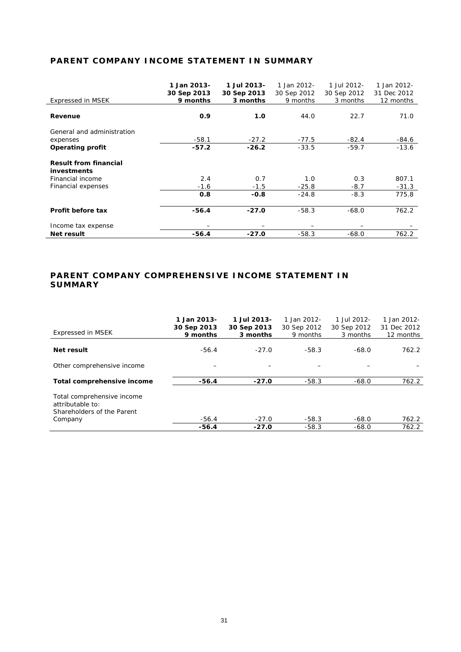## **PARENT COMPANY INCOME STATEMENT IN SUMMARY**

| Expressed in MSEK                                  | 1 Jan 2013-<br>30 Sep 2013<br>9 months | 1 Jul 2013-<br>30 Sep 2013<br>3 months | 1 Jan 2012-<br>30 Sep 2012<br>9 months | 1 Jul 2012-<br>30 Sep 2012<br>3 months | 1 Jan 2012-<br>31 Dec 2012<br>12 months |
|----------------------------------------------------|----------------------------------------|----------------------------------------|----------------------------------------|----------------------------------------|-----------------------------------------|
| Revenue                                            | 0.9                                    | 1.0                                    | 44.0                                   | 22.7                                   | 71.0                                    |
| General and administration                         |                                        |                                        |                                        |                                        |                                         |
| expenses                                           | $-58.1$                                | $-27.2$                                | $-77.5$                                | $-82.4$                                | $-84.6$                                 |
| <b>Operating profit</b>                            | $-57.2$                                | $-26.2$                                | $-33.5$                                | $-59.7$                                | $-13.6$                                 |
| <b>Result from financial</b><br><i>investments</i> |                                        |                                        |                                        |                                        |                                         |
| Financial income                                   | 2.4                                    | 0.7                                    | 1.0                                    | 0.3                                    | 807.1                                   |
| Financial expenses                                 | $-1.6$                                 | $-1.5$                                 | $-25.8$                                | $-8.7$                                 | $-31.3$                                 |
|                                                    | 0.8                                    | $-0.8$                                 | $-24.8$                                | $-8.3$                                 | 775.8                                   |
| Profit before tax                                  | $-56.4$                                | $-27.0$                                | $-58.3$                                | $-68.0$                                | 762.2                                   |
| Income tax expense                                 |                                        |                                        |                                        |                                        |                                         |
| Net result                                         | $-56.4$                                | $-27.0$                                | $-58.3$                                | $-68.0$                                | 762.2                                   |

## **PARENT COMPANY COMPREHENSIVE INCOME STATEMENT IN SUMMARY**

| Expressed in MSEK                                                                       | 1 Jan 2013-<br>30 Sep 2013<br>9 months | 1 Jul 2013-<br>30 Sep 2013<br>3 months | 1 Jan 2012-<br>30 Sep 2012<br>9 months | 1 Jul 2012-<br>30 Sep 2012<br>3 months | 1 Jan 2012-<br>31 Dec 2012<br>12 months |
|-----------------------------------------------------------------------------------------|----------------------------------------|----------------------------------------|----------------------------------------|----------------------------------------|-----------------------------------------|
| Net result                                                                              | $-56.4$                                | $-27.0$                                | $-58.3$                                | $-68.0$                                | 762.2                                   |
| Other comprehensive income                                                              |                                        |                                        |                                        |                                        |                                         |
| Total comprehensive income                                                              | $-56.4$                                | $-27.0$                                | $-58.3$                                | $-68.0$                                | 762.2                                   |
| Total comprehensive income<br>attributable to:<br>Shareholders of the Parent<br>Company | $-56.4$                                | $-27.0$                                | $-58.3$                                | $-68.0$                                | 762.2                                   |
|                                                                                         | $-56.4$                                | $-27.0$                                | $-58.3$                                | $-68.0$                                | 762.2                                   |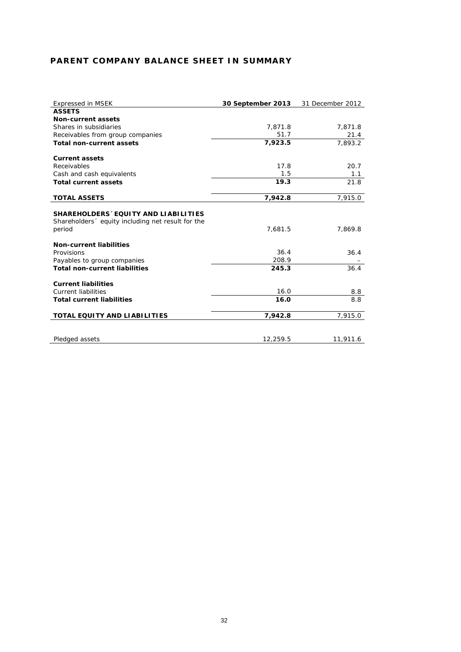## **PARENT COMPANY BALANCE SHEET IN SUMMARY**

| <b>Expressed in MSEK</b>                          | 30 September 2013 | 31 December 2012 |
|---------------------------------------------------|-------------------|------------------|
| <b>ASSETS</b>                                     |                   |                  |
| Non-current assets                                |                   |                  |
| Shares in subsidiaries                            | 7,871.8           | 7,871.8          |
| Receivables from group companies                  | 51.7              | 21.4             |
| <b>Total non-current assets</b>                   | 7,923.5           | 7,893.2          |
| <b>Current assets</b>                             |                   |                  |
| Receivables                                       | 17.8              | 20.7             |
| Cash and cash equivalents                         | 1.5               | 1.1              |
| <b>Total current assets</b>                       | 19.3              | 21.8             |
| <b>TOTAL ASSETS</b>                               | 7,942.8           | 7,915.0          |
| Shareholders 'equity including net result for the | 7,681.5           | 7,869.8          |
| period                                            |                   |                  |
| <b>Non-current liabilities</b>                    |                   |                  |
| Provisions                                        | 36.4              | 36.4             |
| Payables to group companies                       | 208.9             |                  |
| <b>Total non-current liabilities</b>              | 245.3             | 36.4             |
| <b>Current liabilities</b>                        |                   |                  |
| <b>Current liabilities</b>                        | 16.0              | 8.8              |
| <b>Total current liabilities</b>                  | 16.0              | 8.8              |
| TOTAL EQUITY AND LIABILITIES                      | 7,942.8           | 7,915.0          |
| Pledged assets                                    | 12,259.5          | 11,911.6         |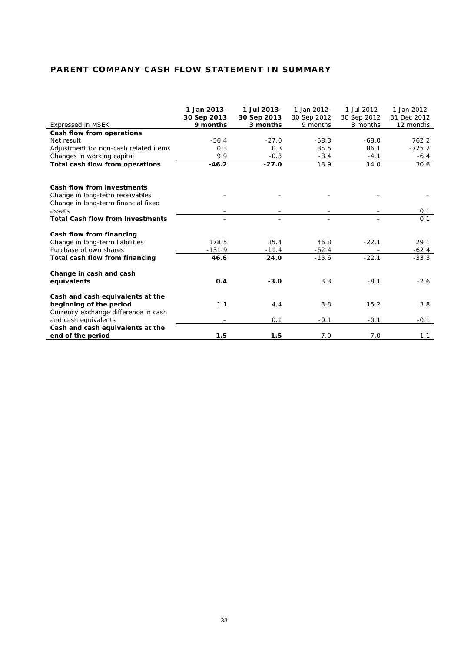## **PARENT COMPANY CASH FLOW STATEMENT IN SUMMARY**

|                                         | 1 Jan 2013-             | 1 Jul 2013-             | 1 Jan 2012-             | 1 Jul 2012-             | 1 Jan 2012-              |
|-----------------------------------------|-------------------------|-------------------------|-------------------------|-------------------------|--------------------------|
| Expressed in MSEK                       | 30 Sep 2013<br>9 months | 30 Sep 2013<br>3 months | 30 Sep 2012<br>9 months | 30 Sep 2012<br>3 months | 31 Dec 2012<br>12 months |
| Cash flow from operations               |                         |                         |                         |                         |                          |
| Net result                              | $-56.4$                 | $-27.0$                 | $-58.3$                 | $-68.0$                 | 762.2                    |
| Adjustment for non-cash related items   | 0.3                     | 0.3                     | 85.5                    | 86.1                    | $-725.2$                 |
| Changes in working capital              | 9.9                     | $-0.3$                  | $-8.4$                  | $-4.1$                  | $-6.4$                   |
| Total cash flow from operations         | $-46.2$                 | $-27.0$                 | 18.9                    | 14.0                    | 30.6                     |
|                                         |                         |                         |                         |                         |                          |
| Cash flow from investments              |                         |                         |                         |                         |                          |
| Change in long-term receivables         |                         |                         |                         |                         |                          |
| Change in long-term financial fixed     |                         |                         |                         |                         |                          |
| assets                                  |                         |                         |                         |                         | 0.1                      |
| <b>Total Cash flow from investments</b> |                         |                         | —                       |                         | 0.1                      |
| Cash flow from financing                |                         |                         |                         |                         |                          |
| Change in long-term liabilities         | 178.5                   | 35.4                    | 46.8                    | $-22.1$                 | 29.1                     |
| Purchase of own shares                  | $-131.9$                | $-11.4$                 | $-62.4$                 |                         | $-62.4$                  |
| Total cash flow from financing          | 46.6                    | 24.0                    | $-15.6$                 | $-22.1$                 | $-33.3$                  |
| Change in cash and cash                 |                         |                         |                         |                         |                          |
| equivalents                             | 0.4                     | $-3.0$                  | 3.3                     | $-8.1$                  | $-2.6$                   |
| Cash and cash equivalents at the        |                         |                         |                         |                         |                          |
| beginning of the period                 | 1.1                     | 4.4                     | 3.8                     | 15.2                    | 3.8                      |
| Currency exchange difference in cash    |                         |                         |                         |                         |                          |
| and cash equivalents                    |                         | 0.1                     | $-0.1$                  | $-0.1$                  | $-0.1$                   |
| Cash and cash equivalents at the        |                         |                         |                         |                         |                          |
| end of the period                       | 1.5                     | 1.5                     | 7.0                     | 7.0                     | 1.1                      |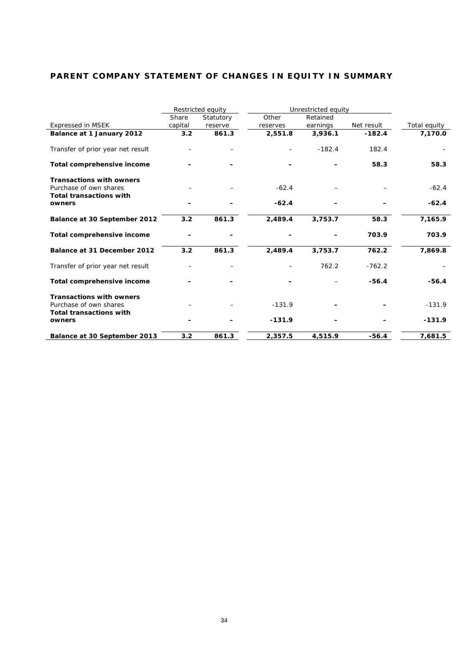## **PARENT COMPANY STATEMENT OF CHANGES IN EQUITY IN SUMMARY**

|                                                           | Restricted equity |           |          | Unrestricted equity |            |              |
|-----------------------------------------------------------|-------------------|-----------|----------|---------------------|------------|--------------|
|                                                           | Share             | Statutory | Other    | Retained            |            |              |
| <b>Expressed in MSEK</b>                                  | capital           | reserve   | reserves | earnings            | Net result | Total equity |
| Balance at 1 January 2012                                 | 3.2               | 861.3     | 2,551.8  | 3,936.1             | $-182.4$   | 7,170.0      |
| Transfer of prior year net result                         |                   |           |          | $-182.4$            | 182.4      |              |
| Total comprehensive income                                |                   |           |          |                     | 58.3       | 58.3         |
| <b>Transactions with owners</b><br>Purchase of own shares |                   |           | $-62.4$  |                     |            | $-62.4$      |
| <b>Total transactions with</b><br>owners                  |                   |           | $-62.4$  |                     |            | $-62.4$      |
| Balance at 30 September 2012                              | 3.2               | 861.3     | 2,489.4  | 3,753.7             | 58.3       | 7,165.9      |
| Total comprehensive income                                |                   |           |          |                     | 703.9      | 703.9        |
| Balance at 31 December 2012                               | 3.2               | 861.3     | 2,489.4  | 3,753.7             | 762.2      | 7,869.8      |
| Transfer of prior year net result                         |                   |           |          | 762.2               | $-762.2$   |              |
| Total comprehensive income                                |                   |           |          |                     | $-56.4$    | $-56.4$      |
| <b>Transactions with owners</b>                           |                   |           |          |                     |            |              |
| Purchase of own shares<br><b>Total transactions with</b>  |                   |           | $-131.9$ |                     |            | $-131.9$     |
| owners                                                    |                   |           | $-131.9$ |                     |            | $-131.9$     |
| Balance at 30 September 2013                              | 3.2               | 861.3     | 2,357.5  | 4,515.9             | $-56.4$    | 7,681.5      |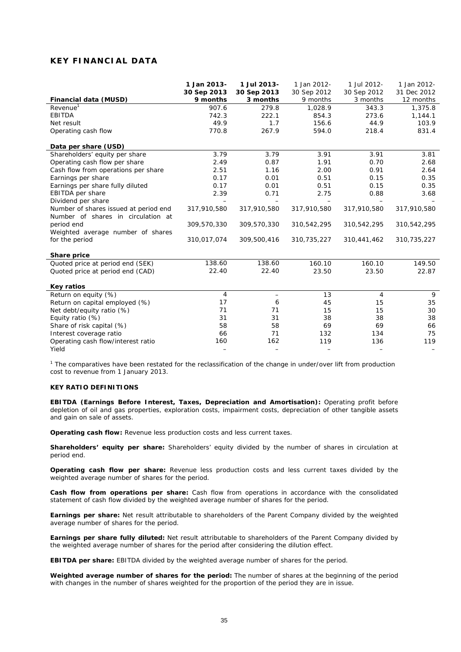## **KEY FINANCIAL DATA**

|                                       | 1 Jan 2013- | 1 Jul 2013-       | 1 Jan 2012- | 1 Jul 2012- | 1 Jan 2012- |
|---------------------------------------|-------------|-------------------|-------------|-------------|-------------|
|                                       | 30 Sep 2013 | 30 Sep 2013       | 30 Sep 2012 | 30 Sep 2012 | 31 Dec 2012 |
| Financial data (MUSD)                 | 9 months    | 3 months          | 9 months    | 3 months    | 12 months   |
| Revenue <sup>1</sup>                  | 907.6       | 279.8             | 1,028.9     | 343.3       | 1,375.8     |
| <b>EBITDA</b>                         | 742.3       | 222.1             | 854.3       | 273.6       | 1,144.1     |
| Net result                            | 49.9        | 1.7               | 156.6       | 44.9        | 103.9       |
| Operating cash flow                   | 770.8       | 267.9             | 594.0       | 218.4       | 831.4       |
| Data per share (USD)                  |             |                   |             |             |             |
| Shareholders' equity per share        | 3.79        | 3.79              | 3.91        | 3.91        | 3.81        |
| Operating cash flow per share         | 2.49        | 0.87              | 1.91        | 0.70        | 2.68        |
| Cash flow from operations per share   | 2.51        | 1.16              | 2.00        | 0.91        | 2.64        |
| Earnings per share                    | 0.17        | 0.01              | 0.51        | 0.15        | 0.35        |
| Earnings per share fully diluted      | 0.17        | 0.01              | 0.51        | 0.15        | 0.35        |
| EBITDA per share                      | 2.39        | 0.71              | 2.75        | 0.88        | 3.68        |
| Dividend per share                    |             |                   |             |             |             |
| Number of shares issued at period end | 317,910,580 | 317,910,580       | 317,910,580 | 317,910,580 | 317,910,580 |
| Number of shares in circulation at    |             |                   |             |             |             |
| period end                            | 309,570,330 | 309,570,330       | 310,542,295 | 310,542,295 | 310,542,295 |
| Weighted average number of shares     |             |                   |             |             |             |
| for the period                        | 310,017,074 | 309,500,416       | 310,735,227 | 310,441,462 | 310,735,227 |
| Share price                           |             |                   |             |             |             |
| Quoted price at period end (SEK)      | 138.60      | 138.60            | 160.10      | 160.10      | 149.50      |
| Quoted price at period end (CAD)      | 22.40       | 22.40             | 23.50       | 23.50       | 22.87       |
| <b>Key ratios</b>                     |             |                   |             |             |             |
| Return on equity (%)                  | 4           | $\qquad \qquad -$ | 13          | 4           | 9           |
| Return on capital employed (%)        | 17          | 6                 | 45          | 15          | 35          |
| Net debt/equity ratio (%)             | 71          | 71                | 15          | 15          | 30          |
| Equity ratio (%)                      | 31          | 31                | 38          | 38          | 38          |
| Share of risk capital (%)             | 58          | 58                | 69          | 69          | 66          |
| Interest coverage ratio               | 66          | 71                | 132         | 134         | 75          |
| Operating cash flow/interest ratio    | 160         | 162               | 119         | 136         | 119         |
| Yield                                 |             |                   |             |             |             |

<sup>1</sup> The comparatives have been restated for the reclassification of the change in under/over lift from production cost to revenue from 1 January 2013.

### **KEY RATIO DEFINITIONS**

**EBITDA (Earnings Before Interest, Taxes, Depreciation and Amortisation):** Operating profit before depletion of oil and gas properties, exploration costs, impairment costs, depreciation of other tangible assets and gain on sale of assets.

**Operating cash flow:** Revenue less production costs and less current taxes.

**Shareholders' equity per share:** Shareholders' equity divided by the number of shares in circulation at period end.

**Operating cash flow per share:** Revenue less production costs and less current taxes divided by the weighted average number of shares for the period.

**Cash flow from operations per share:** Cash flow from operations in accordance with the consolidated statement of cash flow divided by the weighted average number of shares for the period.

**Earnings per share:** Net result attributable to shareholders of the Parent Company divided by the weighted average number of shares for the period.

**Earnings per share fully diluted:** Net result attributable to shareholders of the Parent Company divided by the weighted average number of shares for the period after considering the dilution effect.

**EBITDA per share:** EBITDA divided by the weighted average number of shares for the period.

**Weighted average number of shares for the period:** The number of shares at the beginning of the period with changes in the number of shares weighted for the proportion of the period they are in issue.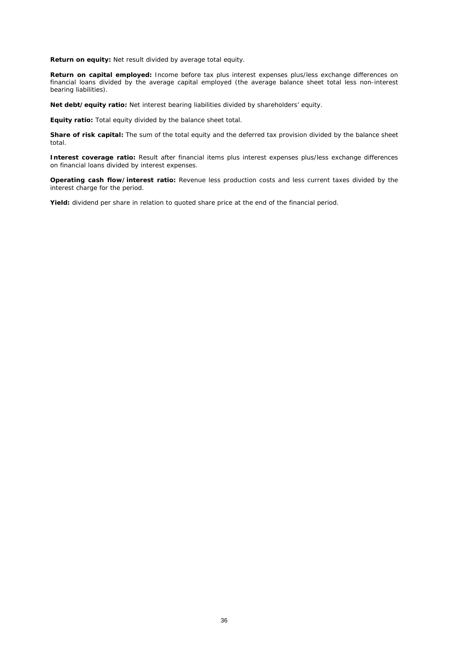**Return on equity:** Net result divided by average total equity.

**Return on capital employed:** Income before tax plus interest expenses plus/less exchange differences on financial loans divided by the average capital employed (the average balance sheet total less non-interest bearing liabilities).

**Net debt/equity ratio:** Net interest bearing liabilities divided by shareholders' equity.

**Equity ratio:** Total equity divided by the balance sheet total.

**Share of risk capital:** The sum of the total equity and the deferred tax provision divided by the balance sheet total.

**Interest coverage ratio:** Result after financial items plus interest expenses plus/less exchange differences on financial loans divided by interest expenses.

**Operating cash flow/interest ratio:** Revenue less production costs and less current taxes divided by the interest charge for the period.

**Yield:** dividend per share in relation to quoted share price at the end of the financial period.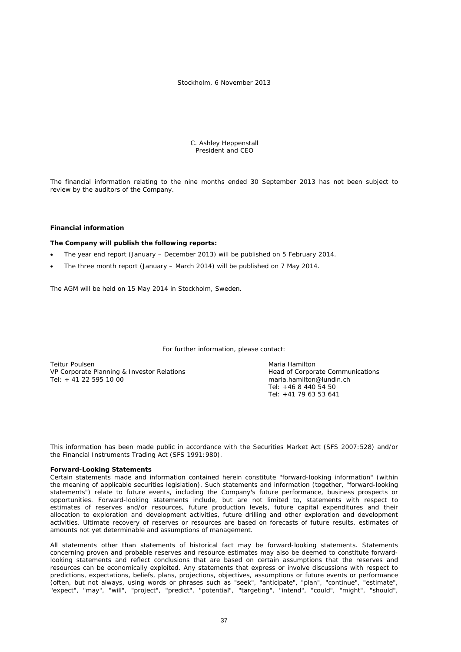#### Stockholm, 6 November 2013

 C. Ashley Heppenstall President and CEO

The financial information relating to the nine months ended 30 September 2013 has not been subject to review by the auditors of the Company.

#### **Financial information**

#### **The Company will publish the following reports:**

- The year end report (January December 2013) will be published on 5 February 2014.
- The three month report (January March 2014) will be published on 7 May 2014.

The AGM will be held on 15 May 2014 in Stockholm, Sweden.

For further information, please contact:

Teitur Poulsen<br>
VP Corporate Planning & Investor Relations<br>
VP Corporate Communications<br>
Maria Head of Corporate Communications VP Corporate Planning & Investor Relations Head of Corporate Communications Head of Corporate Communications Head of Corporate Communications Head of Corporate Communications Head of Corporate Communications Head of Corpor  $T$ el: + 41 22 595 10 00

Tel: +46 8 440 54 50 Tel: +41 79 63 53 641

This information has been made public in accordance with the Securities Market Act (SFS 2007:528) and/or the Financial Instruments Trading Act (SFS 1991:980).

#### **Forward-Looking Statements**

Certain statements made and information contained herein constitute "forward-looking information" (within the meaning of applicable securities legislation). Such statements and information (together, "forward-looking statements") relate to future events, including the Company's future performance, business prospects or opportunities. Forward-looking statements include, but are not limited to, statements with respect to estimates of reserves and/or resources, future production levels, future capital expenditures and their allocation to exploration and development activities, future drilling and other exploration and development activities. Ultimate recovery of reserves or resources are based on forecasts of future results, estimates of amounts not yet determinable and assumptions of management.

All statements other than statements of historical fact may be forward-looking statements. Statements concerning proven and probable reserves and resource estimates may also be deemed to constitute forwardlooking statements and reflect conclusions that are based on certain assumptions that the reserves and resources can be economically exploited. Any statements that express or involve discussions with respect to predictions, expectations, beliefs, plans, projections, objectives, assumptions or future events or performance (often, but not always, using words or phrases such as "seek", "anticipate", "plan", "continue", "estimate", "expect", "may", "will", "project", "predict", "potential", "targeting", "intend", "could", "might", "should",